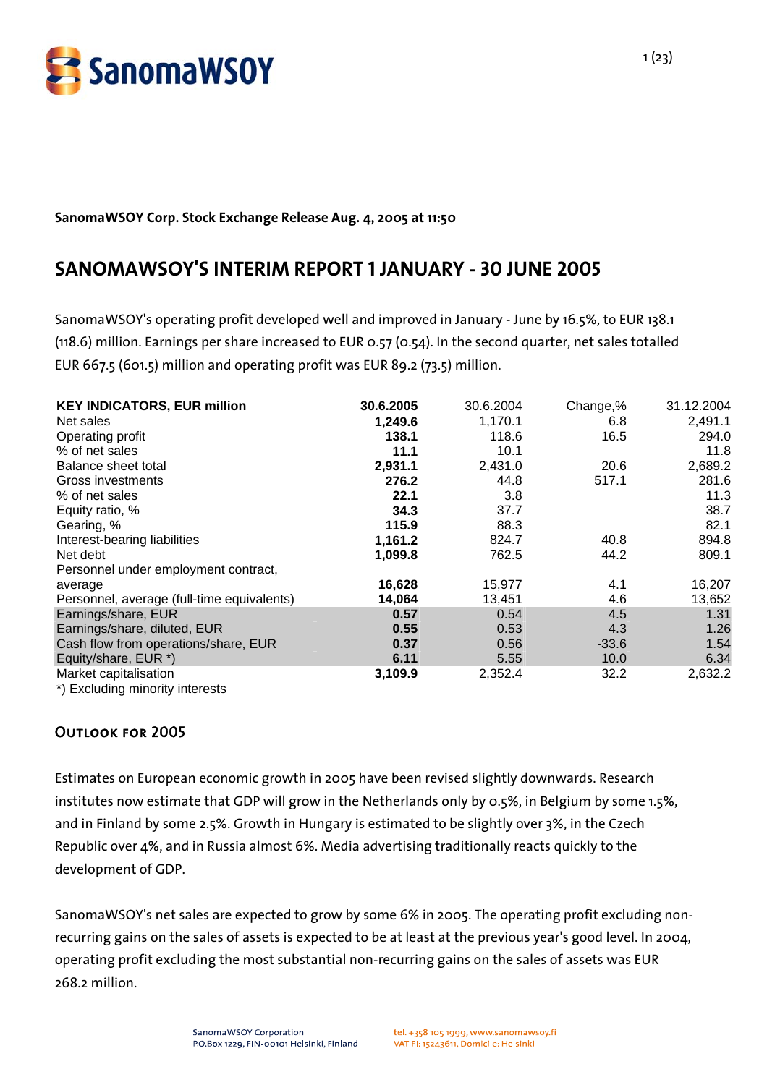

#### **SanomaWSOY Corp. Stock Exchange Release Aug. 4, 2005 at 11:50**

# **SANOMAWSOY'S INTERIM REPORT 1 JANUARY - 30 JUNE 2005**

SanomaWSOY's operating profit developed well and improved in January - June by 16.5%, to EUR 138.1 (118.6) million. Earnings per share increased to EUR 0.57 (0.54). In the second quarter, net sales totalled EUR 667.5 (601.5) million and operating profit was EUR 89.2 (73.5) million.

| <b>KEY INDICATORS, EUR million</b>         | 30.6.2005 | 30.6.2004 | Change,% | 31.12.2004 |
|--------------------------------------------|-----------|-----------|----------|------------|
| Net sales                                  | 1,249.6   | 1,170.1   | 6.8      | 2,491.1    |
| Operating profit                           | 138.1     | 118.6     | 16.5     | 294.0      |
| % of net sales                             | 11.1      | 10.1      |          | 11.8       |
| Balance sheet total                        | 2,931.1   | 2,431.0   | 20.6     | 2,689.2    |
| Gross investments                          | 276.2     | 44.8      | 517.1    | 281.6      |
| % of net sales                             | 22.1      | 3.8       |          | 11.3       |
| Equity ratio, %                            | 34.3      | 37.7      |          | 38.7       |
| Gearing, %                                 | 115.9     | 88.3      |          | 82.1       |
| Interest-bearing liabilities               | 1,161.2   | 824.7     | 40.8     | 894.8      |
| Net debt                                   | 1,099.8   | 762.5     | 44.2     | 809.1      |
| Personnel under employment contract,       |           |           |          |            |
| average                                    | 16,628    | 15,977    | 4.1      | 16,207     |
| Personnel, average (full-time equivalents) | 14,064    | 13,451    | 4.6      | 13,652     |
| Earnings/share, EUR                        | 0.57      | 0.54      | 4.5      | 1.31       |
| Earnings/share, diluted, EUR               | 0.55      | 0.53      | 4.3      | 1.26       |
| Cash flow from operations/share, EUR       | 0.37      | 0.56      | $-33.6$  | 1.54       |
| Equity/share, EUR *)                       | 6.11      | 5.55      | 10.0     | 6.34       |
| Market capitalisation                      | 3,109.9   | 2,352.4   | 32.2     | 2,632.2    |

\*) Excluding minority interests

#### Outlook for 2005

Estimates on European economic growth in 2005 have been revised slightly downwards. Research institutes now estimate that GDP will grow in the Netherlands only by 0.5%, in Belgium by some 1.5%, and in Finland by some 2.5%. Growth in Hungary is estimated to be slightly over 3%, in the Czech Republic over 4%, and in Russia almost 6%. Media advertising traditionally reacts quickly to the development of GDP.

SanomaWSOY's net sales are expected to grow by some 6% in 2005. The operating profit excluding nonrecurring gains on the sales of assets is expected to be at least at the previous year's good level. In 2004, operating profit excluding the most substantial non-recurring gains on the sales of assets was EUR 268.2 million.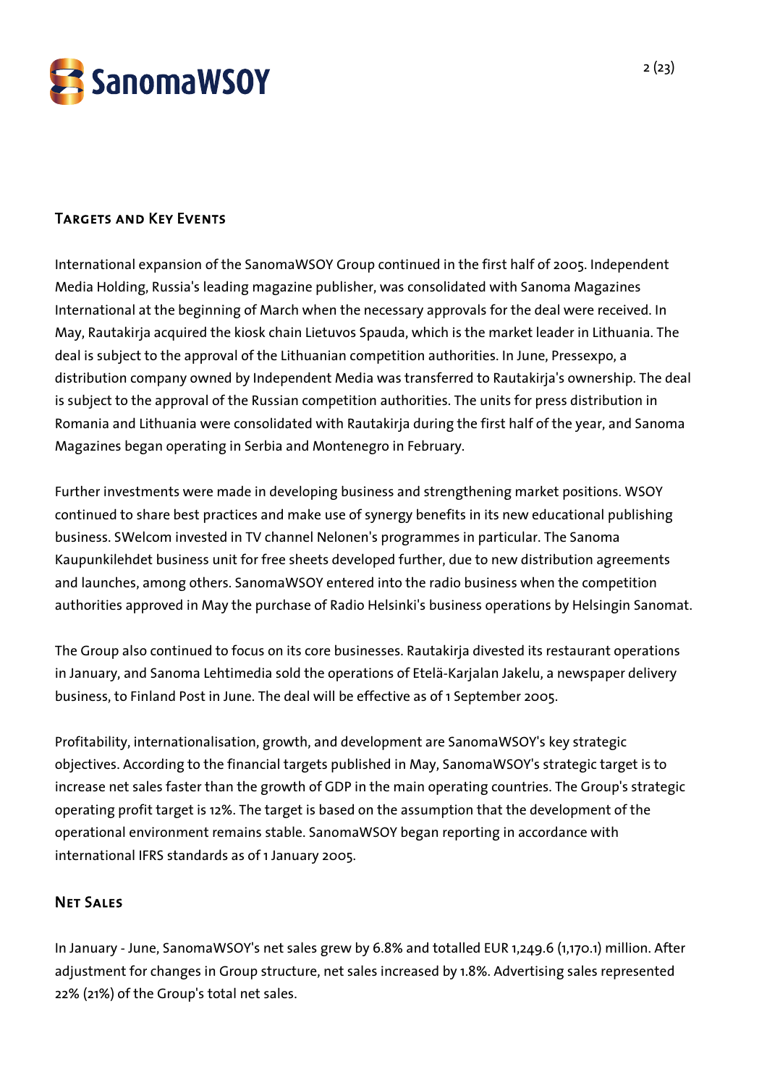

# Targets and Key Events

International expansion of the SanomaWSOY Group continued in the first half of 2005. Independent Media Holding, Russia's leading magazine publisher, was consolidated with Sanoma Magazines International at the beginning of March when the necessary approvals for the deal were received. In May, Rautakirja acquired the kiosk chain Lietuvos Spauda, which is the market leader in Lithuania. The deal is subject to the approval of the Lithuanian competition authorities. In June, Pressexpo, a distribution company owned by Independent Media was transferred to Rautakirja's ownership. The deal is subject to the approval of the Russian competition authorities. The units for press distribution in Romania and Lithuania were consolidated with Rautakirja during the first half of the year, and Sanoma Magazines began operating in Serbia and Montenegro in February.

Further investments were made in developing business and strengthening market positions. WSOY continued to share best practices and make use of synergy benefits in its new educational publishing business. SWelcom invested in TV channel Nelonen's programmes in particular. The Sanoma Kaupunkilehdet business unit for free sheets developed further, due to new distribution agreements and launches, among others. SanomaWSOY entered into the radio business when the competition authorities approved in May the purchase of Radio Helsinki's business operations by Helsingin Sanomat.

The Group also continued to focus on its core businesses. Rautakirja divested its restaurant operations in January, and Sanoma Lehtimedia sold the operations of Etelä-Karjalan Jakelu, a newspaper delivery business, to Finland Post in June. The deal will be effective as of 1 September 2005.

Profitability, internationalisation, growth, and development are SanomaWSOY's key strategic objectives. According to the financial targets published in May, SanomaWSOY's strategic target is to increase net sales faster than the growth of GDP in the main operating countries. The Group's strategic operating profit target is 12%. The target is based on the assumption that the development of the operational environment remains stable. SanomaWSOY began reporting in accordance with international IFRS standards as of 1 January 2005.

# Net Sales

In January - June, SanomaWSOY's net sales grew by 6.8% and totalled EUR 1,249.6 (1,170.1) million. After adjustment for changes in Group structure, net sales increased by 1.8%. Advertising sales represented 22% (21%) of the Group's total net sales.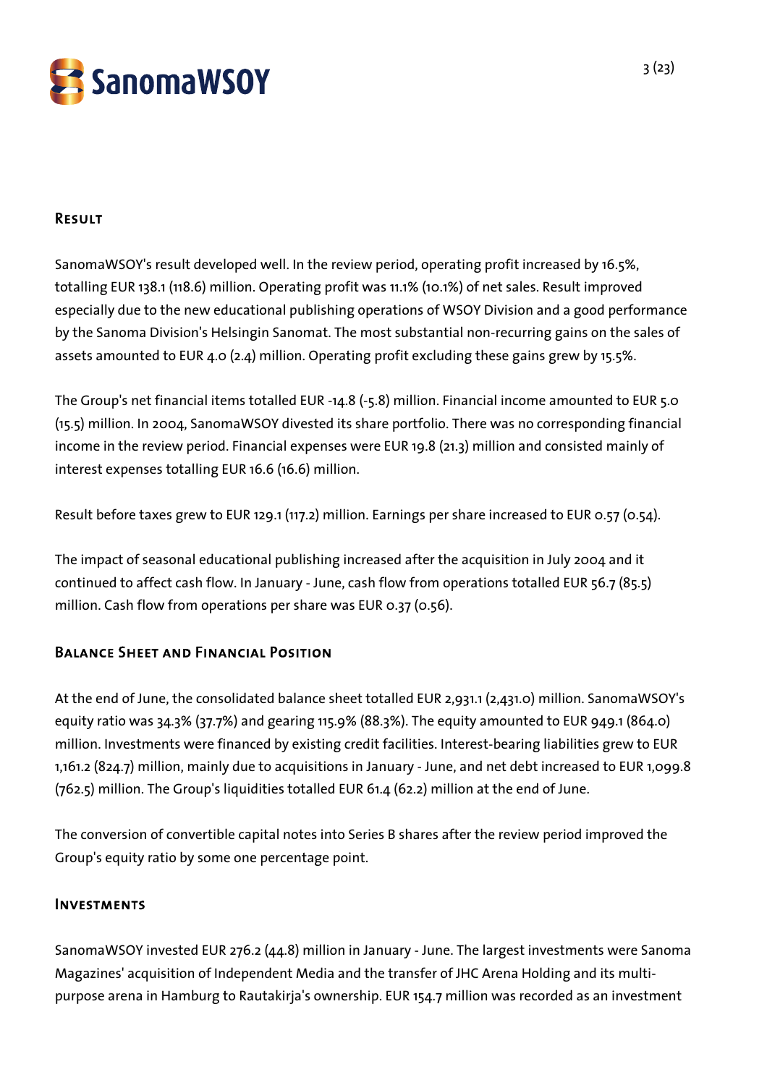

## Result

SanomaWSOY's result developed well. In the review period, operating profit increased by 16.5%, totalling EUR 138.1 (118.6) million. Operating profit was 11.1% (10.1%) of net sales. Result improved especially due to the new educational publishing operations of WSOY Division and a good performance by the Sanoma Division's Helsingin Sanomat. The most substantial non-recurring gains on the sales of assets amounted to EUR 4.0 (2.4) million. Operating profit excluding these gains grew by 15.5%.

The Group's net financial items totalled EUR -14.8 (-5.8) million. Financial income amounted to EUR 5.0 (15.5) million. In 2004, SanomaWSOY divested its share portfolio. There was no corresponding financial income in the review period. Financial expenses were EUR 19.8 (21.3) million and consisted mainly of interest expenses totalling EUR 16.6 (16.6) million.

Result before taxes grew to EUR 129.1 (117.2) million. Earnings per share increased to EUR 0.57 (0.54).

The impact of seasonal educational publishing increased after the acquisition in July 2004 and it continued to affect cash flow. In January - June, cash flow from operations totalled EUR 56.7 (85.5) million. Cash flow from operations per share was EUR 0.37 (0.56).

# Balance Sheet and Financial Position

At the end of June, the consolidated balance sheet totalled EUR 2,931.1 (2,431.0) million. SanomaWSOY's equity ratio was 34.3% (37.7%) and gearing 115.9% (88.3%). The equity amounted to EUR 949.1 (864.0) million. Investments were financed by existing credit facilities. Interest-bearing liabilities grew to EUR 1,161.2 (824.7) million, mainly due to acquisitions in January - June, and net debt increased to EUR 1,099.8 (762.5) million. The Group's liquidities totalled EUR 61.4 (62.2) million at the end of June.

The conversion of convertible capital notes into Series B shares after the review period improved the Group's equity ratio by some one percentage point.

#### Investments

SanomaWSOY invested EUR 276.2 (44.8) million in January - June. The largest investments were Sanoma Magazines' acquisition of Independent Media and the transfer of JHC Arena Holding and its multipurpose arena in Hamburg to Rautakirja's ownership. EUR 154.7 million was recorded as an investment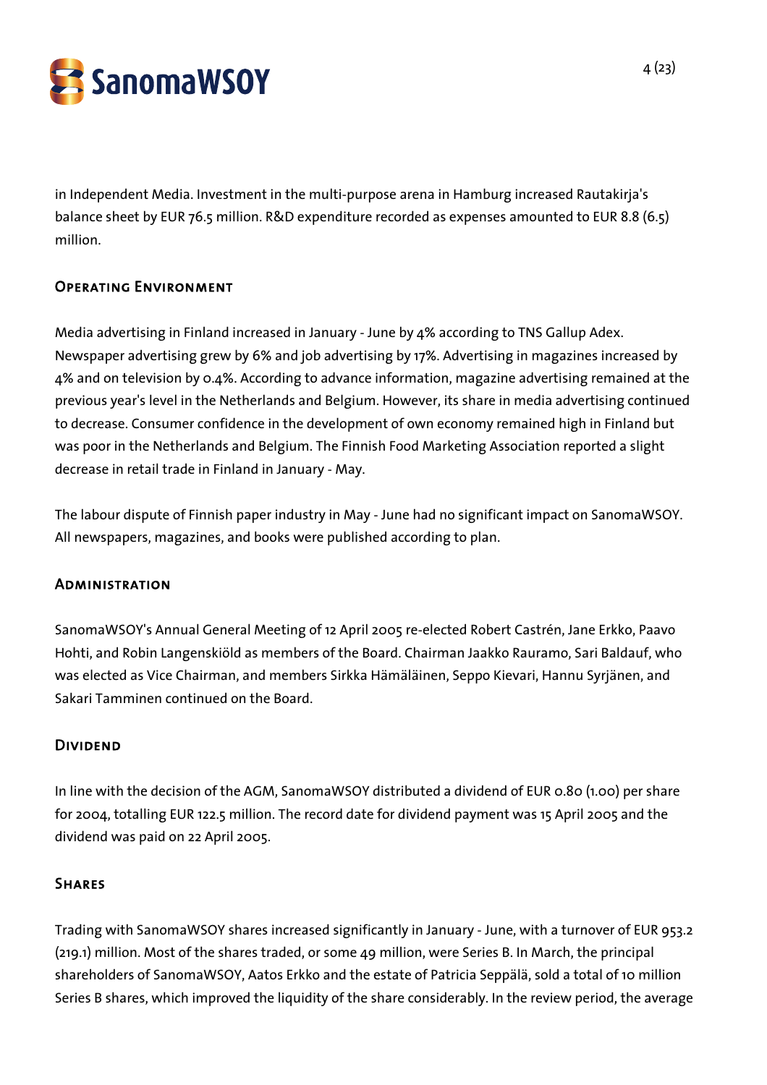

in Independent Media. Investment in the multi-purpose arena in Hamburg increased Rautakirja's balance sheet by EUR 76.5 million. R&D expenditure recorded as expenses amounted to EUR 8.8 (6.5) million.

# Operating Environment

Media advertising in Finland increased in January - June by 4% according to TNS Gallup Adex. Newspaper advertising grew by 6% and job advertising by 17%. Advertising in magazines increased by 4% and on television by 0.4%. According to advance information, magazine advertising remained at the previous year's level in the Netherlands and Belgium. However, its share in media advertising continued to decrease. Consumer confidence in the development of own economy remained high in Finland but was poor in the Netherlands and Belgium. The Finnish Food Marketing Association reported a slight decrease in retail trade in Finland in January - May.

The labour dispute of Finnish paper industry in May - June had no significant impact on SanomaWSOY. All newspapers, magazines, and books were published according to plan.

#### **ADMINISTRATION**

SanomaWSOY's Annual General Meeting of 12 April 2005 re-elected Robert Castrén, Jane Erkko, Paavo Hohti, and Robin Langenskiöld as members of the Board. Chairman Jaakko Rauramo, Sari Baldauf, who was elected as Vice Chairman, and members Sirkka Hämäläinen, Seppo Kievari, Hannu Syrjänen, and Sakari Tamminen continued on the Board.

#### Dividend

In line with the decision of the AGM, SanomaWSOY distributed a dividend of EUR 0.80 (1.00) per share for 2004, totalling EUR 122.5 million. The record date for dividend payment was 15 April 2005 and the dividend was paid on 22 April 2005.

#### **SHARES**

Trading with SanomaWSOY shares increased significantly in January - June, with a turnover of EUR 953.2 (219.1) million. Most of the shares traded, or some 49 million, were Series B. In March, the principal shareholders of SanomaWSOY, Aatos Erkko and the estate of Patricia Seppälä, sold a total of 10 million Series B shares, which improved the liquidity of the share considerably. In the review period, the average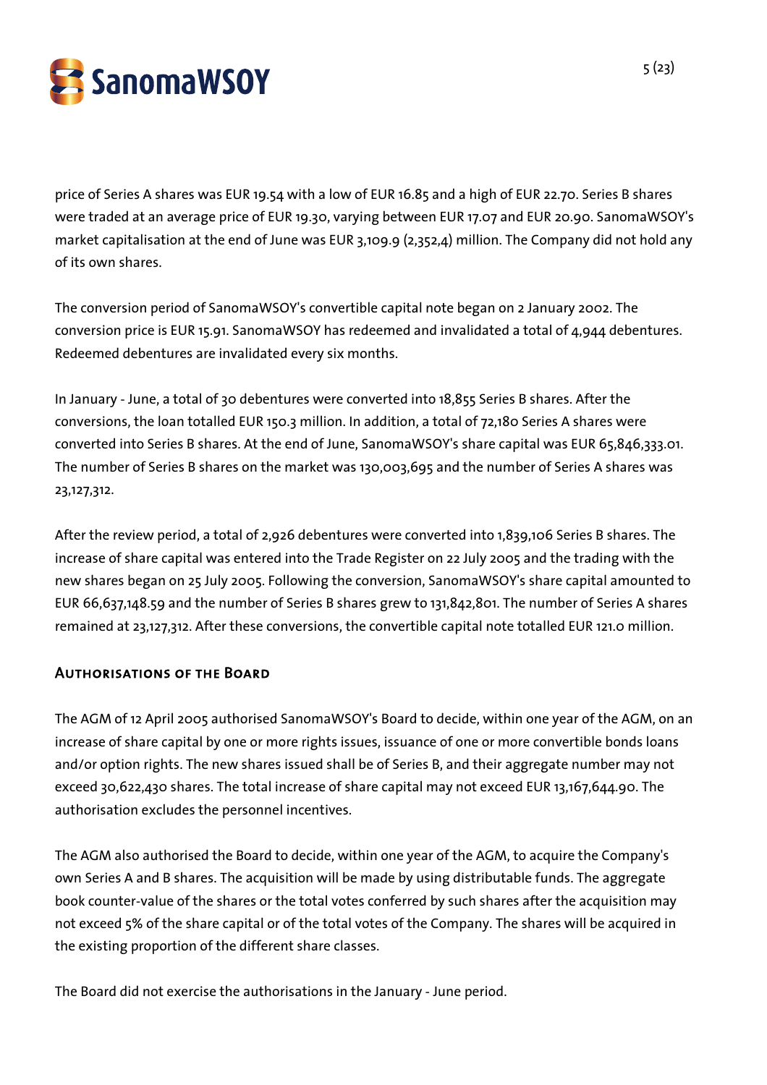

price of Series A shares was EUR 19.54 with a low of EUR 16.85 and a high of EUR 22.70. Series B shares were traded at an average price of EUR 19.30, varying between EUR 17.07 and EUR 20.90. SanomaWSOY's market capitalisation at the end of June was EUR 3,109.9 (2,352,4) million. The Company did not hold any of its own shares.

The conversion period of SanomaWSOY's convertible capital note began on 2 January 2002. The conversion price is EUR 15.91. SanomaWSOY has redeemed and invalidated a total of 4,944 debentures. Redeemed debentures are invalidated every six months.

In January - June, a total of 30 debentures were converted into 18,855 Series B shares. After the conversions, the loan totalled EUR 150.3 million. In addition, a total of 72,180 Series A shares were converted into Series B shares. At the end of June, SanomaWSOY's share capital was EUR 65,846,333.01. The number of Series B shares on the market was 130,003,695 and the number of Series A shares was 23,127,312.

After the review period, a total of 2,926 debentures were converted into 1,839,106 Series B shares. The increase of share capital was entered into the Trade Register on 22 July 2005 and the trading with the new shares began on 25 July 2005. Following the conversion, SanomaWSOY's share capital amounted to EUR 66,637,148.59 and the number of Series B shares grew to 131,842,801. The number of Series A shares remained at 23,127,312. After these conversions, the convertible capital note totalled EUR 121.0 million.

#### Authorisations of the Board

The AGM of 12 April 2005 authorised SanomaWSOY's Board to decide, within one year of the AGM, on an increase of share capital by one or more rights issues, issuance of one or more convertible bonds loans and/or option rights. The new shares issued shall be of Series B, and their aggregate number may not exceed 30,622,430 shares. The total increase of share capital may not exceed EUR 13,167,644.90. The authorisation excludes the personnel incentives.

The AGM also authorised the Board to decide, within one year of the AGM, to acquire the Company's own Series A and B shares. The acquisition will be made by using distributable funds. The aggregate book counter-value of the shares or the total votes conferred by such shares after the acquisition may not exceed 5% of the share capital or of the total votes of the Company. The shares will be acquired in the existing proportion of the different share classes.

The Board did not exercise the authorisations in the January - June period.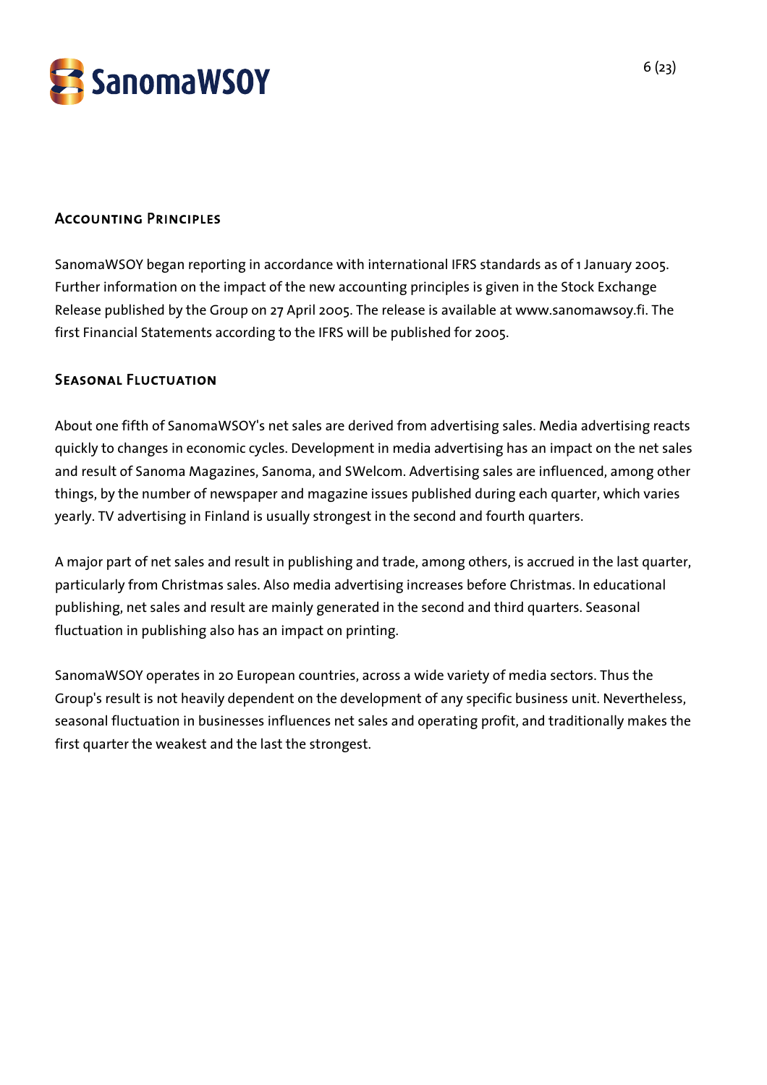

## Accounting Principles

SanomaWSOY began reporting in accordance with international IFRS standards as of 1 January 2005. Further information on the impact of the new accounting principles is given in the Stock Exchange Release published by the Group on 27 April 2005. The release is available at www.sanomawsoy.fi. The first Financial Statements according to the IFRS will be published for 2005.

#### Seasonal Fluctuation

About one fifth of SanomaWSOY's net sales are derived from advertising sales. Media advertising reacts quickly to changes in economic cycles. Development in media advertising has an impact on the net sales and result of Sanoma Magazines, Sanoma, and SWelcom. Advertising sales are influenced, among other things, by the number of newspaper and magazine issues published during each quarter, which varies yearly. TV advertising in Finland is usually strongest in the second and fourth quarters.

A major part of net sales and result in publishing and trade, among others, is accrued in the last quarter, particularly from Christmas sales. Also media advertising increases before Christmas. In educational publishing, net sales and result are mainly generated in the second and third quarters. Seasonal fluctuation in publishing also has an impact on printing.

SanomaWSOY operates in 20 European countries, across a wide variety of media sectors. Thus the Group's result is not heavily dependent on the development of any specific business unit. Nevertheless, seasonal fluctuation in businesses influences net sales and operating profit, and traditionally makes the first quarter the weakest and the last the strongest.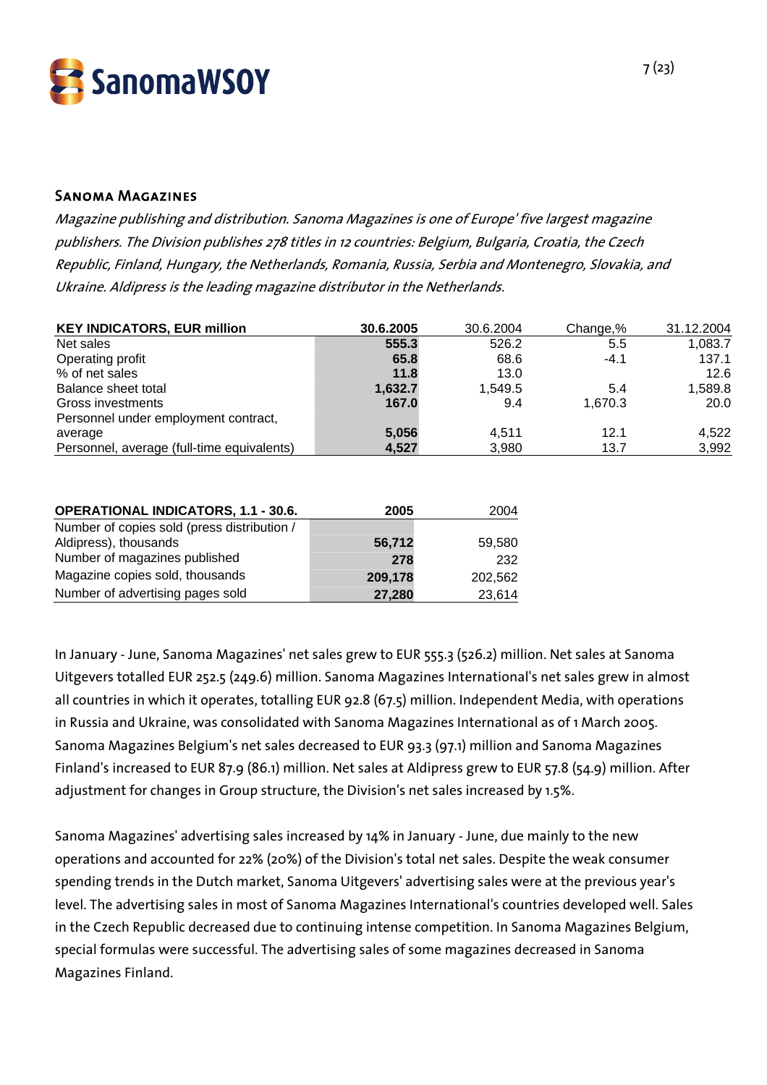

#### Sanoma Magazines

Magazine publishing and distribution. Sanoma Magazines is one of Europe' five largest magazine publishers. The Division publishes 278 titles in 12 countries: Belgium, Bulgaria, Croatia, the Czech Republic, Finland, Hungary, the Netherlands, Romania, Russia, Serbia and Montenegro, Slovakia, and Ukraine. Aldipress is the leading magazine distributor in the Netherlands.

| <b>KEY INDICATORS, EUR million</b>          | 30.6.2005 | 30.6.2004 | Change,% | 31.12.2004 |
|---------------------------------------------|-----------|-----------|----------|------------|
| Net sales                                   | 555.3     | 526.2     | 5.5      | 1,083.7    |
| Operating profit                            | 65.8      | 68.6      | $-4.1$   | 137.1      |
| % of net sales                              | 11.8      | 13.0      |          | 12.6       |
| Balance sheet total                         | 1,632.7   | 1,549.5   | 5.4      | 1,589.8    |
| Gross investments                           | 167.0     | 9.4       | 1,670.3  | 20.0       |
| Personnel under employment contract,        |           |           |          |            |
| average                                     | 5,056     | 4.511     | 12.1     | 4,522      |
| Personnel, average (full-time equivalents)  | 4,527     | 3,980     | 13.7     | 3,992      |
|                                             |           |           |          |            |
| <b>OPERATIONAL INDICATORS, 1.1 - 30.6.</b>  | 2005      | 2004      |          |            |
| Number of copies sold (press distribution / |           |           |          |            |
|                                             |           |           |          |            |

| Aldipress), thousands            | 56,712  | 59.580  |
|----------------------------------|---------|---------|
| Number of magazines published    | 278     | 232     |
| Magazine copies sold, thousands  | 209.178 | 202.562 |
| Number of advertising pages sold | 27.280  | 23,614  |

In January - June, Sanoma Magazines' net sales grew to EUR 555.3 (526.2) million. Net sales at Sanoma Uitgevers totalled EUR 252.5 (249.6) million. Sanoma Magazines International's net sales grew in almost all countries in which it operates, totalling EUR 92.8 (67.5) million. Independent Media, with operations in Russia and Ukraine, was consolidated with Sanoma Magazines International as of 1 March 2005. Sanoma Magazines Belgium's net sales decreased to EUR 93.3 (97.1) million and Sanoma Magazines Finland's increased to EUR 87.9 (86.1) million. Net sales at Aldipress grew to EUR 57.8 (54.9) million. After adjustment for changes in Group structure, the Division's net sales increased by 1.5%.

Sanoma Magazines' advertising sales increased by 14% in January - June, due mainly to the new operations and accounted for 22% (20%) of the Division's total net sales. Despite the weak consumer spending trends in the Dutch market, Sanoma Uitgevers' advertising sales were at the previous year's level. The advertising sales in most of Sanoma Magazines International's countries developed well. Sales in the Czech Republic decreased due to continuing intense competition. In Sanoma Magazines Belgium, special formulas were successful. The advertising sales of some magazines decreased in Sanoma Magazines Finland.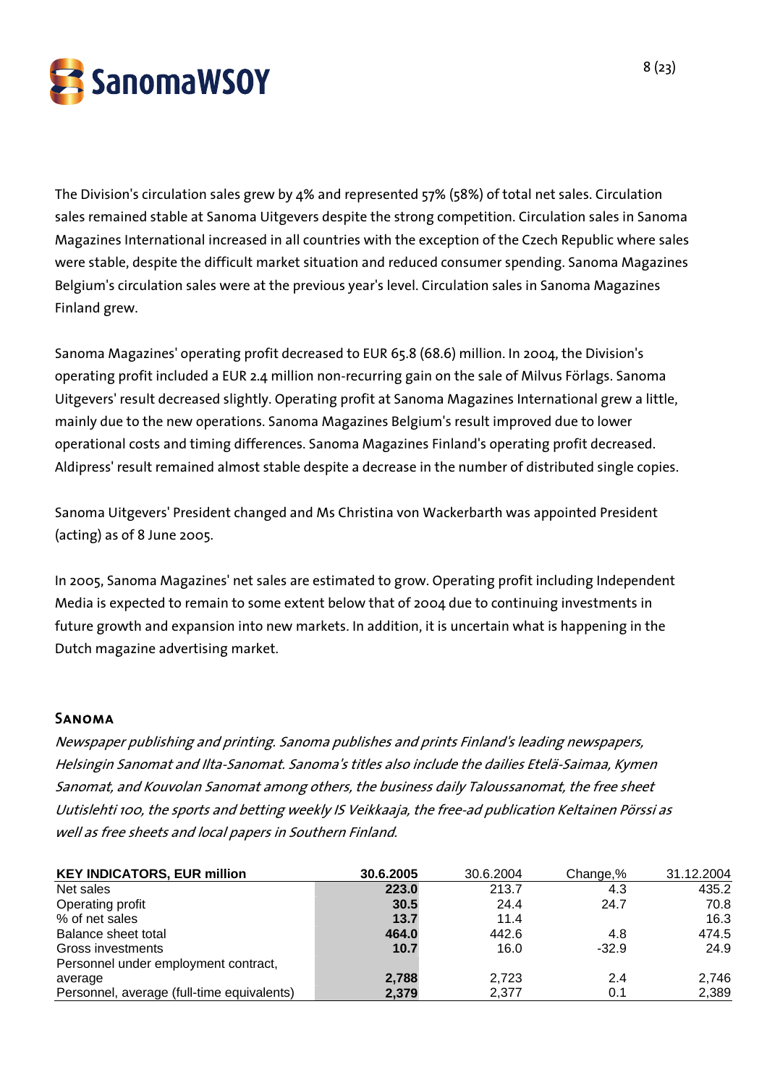

The Division's circulation sales grew by 4% and represented 57% (58%) of total net sales. Circulation sales remained stable at Sanoma Uitgevers despite the strong competition. Circulation sales in Sanoma Magazines International increased in all countries with the exception of the Czech Republic where sales were stable, despite the difficult market situation and reduced consumer spending. Sanoma Magazines Belgium's circulation sales were at the previous year's level. Circulation sales in Sanoma Magazines Finland grew.

Sanoma Magazines' operating profit decreased to EUR 65.8 (68.6) million. In 2004, the Division's operating profit included a EUR 2.4 million non-recurring gain on the sale of Milvus Förlags. Sanoma Uitgevers' result decreased slightly. Operating profit at Sanoma Magazines International grew a little, mainly due to the new operations. Sanoma Magazines Belgium's result improved due to lower operational costs and timing differences. Sanoma Magazines Finland's operating profit decreased. Aldipress' result remained almost stable despite a decrease in the number of distributed single copies.

Sanoma Uitgevers' President changed and Ms Christina von Wackerbarth was appointed President (acting) as of 8 June 2005.

In 2005, Sanoma Magazines' net sales are estimated to grow. Operating profit including Independent Media is expected to remain to some extent below that of 2004 due to continuing investments in future growth and expansion into new markets. In addition, it is uncertain what is happening in the Dutch magazine advertising market.

#### Sanoma

Newspaper publishing and printing. Sanoma publishes and prints Finland's leading newspapers, Helsingin Sanomat and Ilta-Sanomat. Sanoma's titles also include the dailies Etelä-Saimaa, Kymen Sanomat, and Kouvolan Sanomat among others, the business daily Taloussanomat, the free sheet Uutislehti 100, the sports and betting weekly IS Veikkaaja, the free-ad publication Keltainen Pörssi as well as free sheets and local papers in Southern Finland.

| <b>KEY INDICATORS, EUR million</b>         | 30.6.2005 | 30.6.2004 | Change,% | 31.12.2004 |
|--------------------------------------------|-----------|-----------|----------|------------|
| Net sales                                  | 223.0     | 213.7     | 4.3      | 435.2      |
| Operating profit                           | 30.5      | 24.4      | 24.7     | 70.8       |
| % of net sales                             | 13.7      | 11.4      |          | 16.3       |
| Balance sheet total                        | 464.0     | 442.6     | 4.8      | 474.5      |
| Gross investments                          | 10.7      | 16.0      | $-32.9$  | 24.9       |
| Personnel under employment contract,       |           |           |          |            |
| average                                    | 2,788     | 2.723     | 2.4      | 2,746      |
| Personnel, average (full-time equivalents) | 2,379     | 2,377     | 0.1      | 2,389      |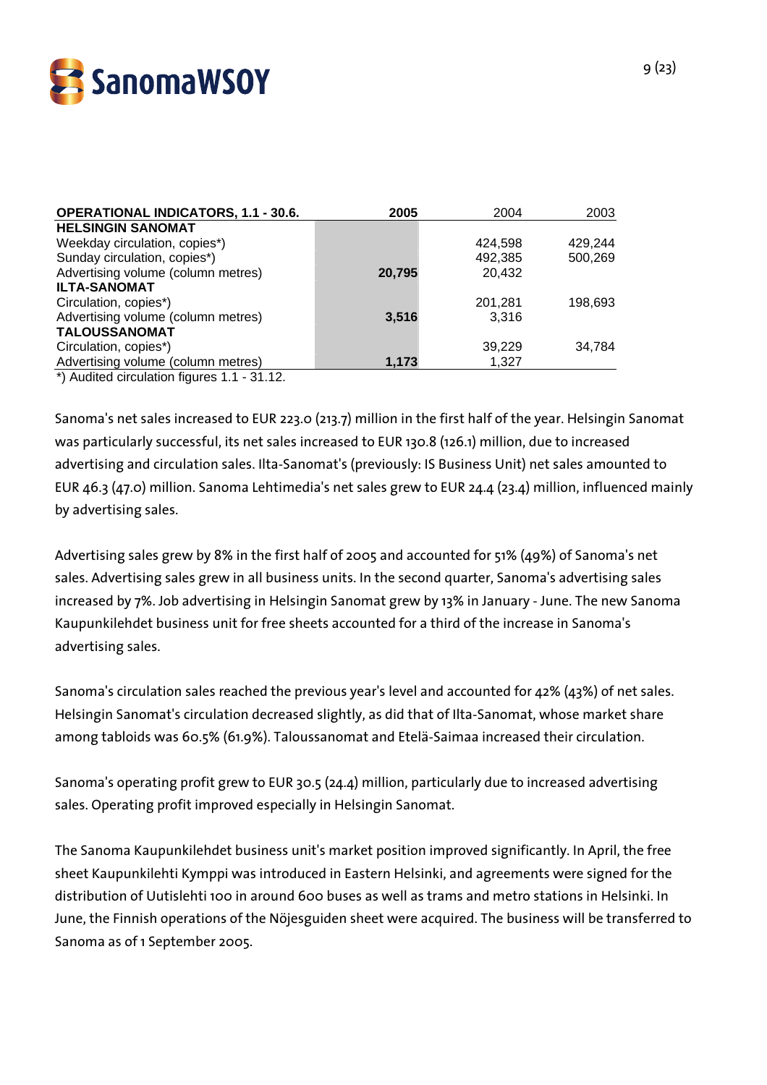

| <b>OPERATIONAL INDICATORS, 1.1 - 30.6.</b> | 2005   | 2004    | 2003    |
|--------------------------------------------|--------|---------|---------|
| <b>HELSINGIN SANOMAT</b>                   |        |         |         |
| Weekday circulation, copies*)              |        | 424.598 | 429.244 |
| Sunday circulation, copies*)               |        | 492,385 | 500,269 |
| Advertising volume (column metres)         | 20,795 | 20,432  |         |
| <b>ILTA-SANOMAT</b>                        |        |         |         |
| Circulation, copies*)                      |        | 201,281 | 198,693 |
| Advertising volume (column metres)         | 3,516  | 3.316   |         |
| TALOUSSANOMAT                              |        |         |         |
| Circulation, copies*)                      |        | 39,229  | 34.784  |
| Advertising volume (column metres)         | 1,173  | 1,327   |         |
|                                            |        |         |         |

\*) Audited circulation figures 1.1 - 31.12.

Sanoma's net sales increased to EUR 223.0 (213.7) million in the first half of the year. Helsingin Sanomat was particularly successful, its net sales increased to EUR 130.8 (126.1) million, due to increased advertising and circulation sales. Ilta-Sanomat's (previously: IS Business Unit) net sales amounted to EUR 46.3 (47.0) million. Sanoma Lehtimedia's net sales grew to EUR 24.4 (23.4) million, influenced mainly by advertising sales.

Advertising sales grew by 8% in the first half of 2005 and accounted for 51% (49%) of Sanoma's net sales. Advertising sales grew in all business units. In the second quarter, Sanoma's advertising sales increased by 7%. Job advertising in Helsingin Sanomat grew by 13% in January - June. The new Sanoma Kaupunkilehdet business unit for free sheets accounted for a third of the increase in Sanoma's advertising sales.

Sanoma's circulation sales reached the previous year's level and accounted for 42% (43%) of net sales. Helsingin Sanomat's circulation decreased slightly, as did that of Ilta-Sanomat, whose market share among tabloids was 60.5% (61.9%). Taloussanomat and Etelä-Saimaa increased their circulation.

Sanoma's operating profit grew to EUR 30.5 (24.4) million, particularly due to increased advertising sales. Operating profit improved especially in Helsingin Sanomat.

The Sanoma Kaupunkilehdet business unit's market position improved significantly. In April, the free sheet Kaupunkilehti Kymppi was introduced in Eastern Helsinki, and agreements were signed for the distribution of Uutislehti 100 in around 600 buses as well as trams and metro stations in Helsinki. In June, the Finnish operations of the Nöjesguiden sheet were acquired. The business will be transferred to Sanoma as of 1 September 2005.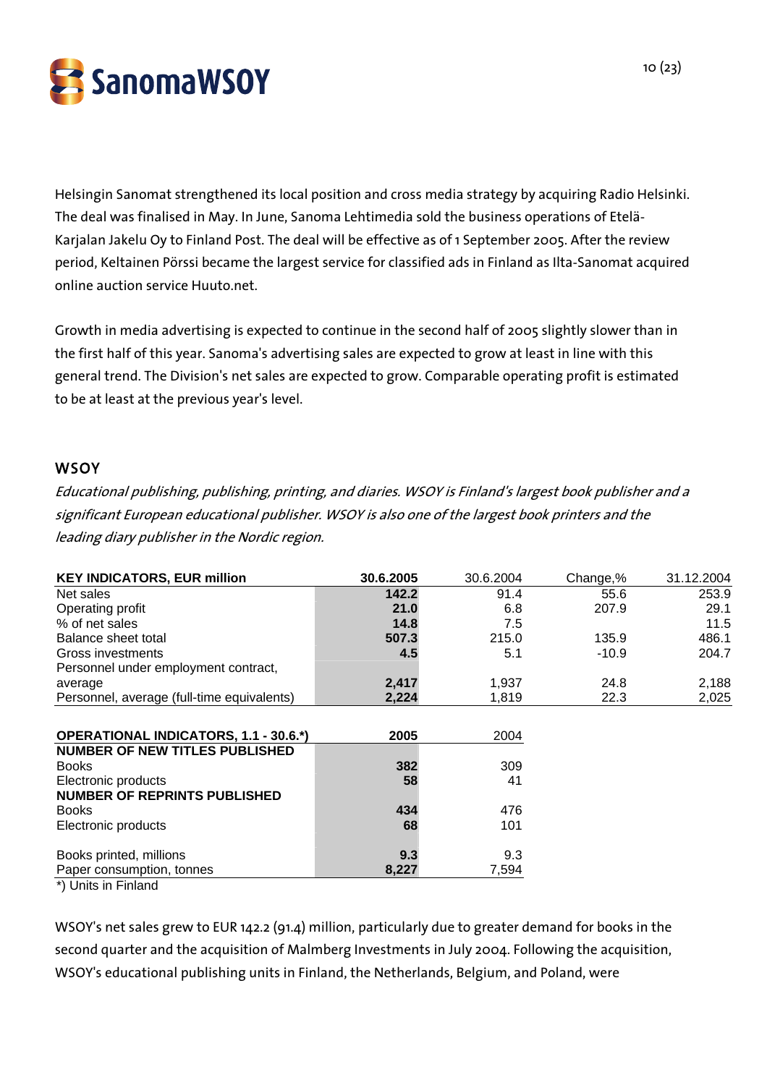

Helsingin Sanomat strengthened its local position and cross media strategy by acquiring Radio Helsinki. The deal was finalised in May. In June, Sanoma Lehtimedia sold the business operations of Etelä-Karjalan Jakelu Oy to Finland Post. The deal will be effective as of 1 September 2005. After the review period, Keltainen Pörssi became the largest service for classified ads in Finland as Ilta-Sanomat acquired online auction service Huuto.net.

Growth in media advertising is expected to continue in the second half of 2005 slightly slower than in the first half of this year. Sanoma's advertising sales are expected to grow at least in line with this general trend. The Division's net sales are expected to grow. Comparable operating profit is estimated to be at least at the previous year's level.

#### **WSOY**

Educational publishing, publishing, printing, and diaries. WSOY is Finland's largest book publisher and a significant European educational publisher. WSOY is also one of the largest book printers and the leading diary publisher in the Nordic region.

| 30.6.2005 | 30.6.2004    | Change,%     | 31.12.2004 |
|-----------|--------------|--------------|------------|
| 142.2     | 91.4         | 55.6         | 253.9      |
| 21.0      | 6.8          | 207.9        | 29.1       |
| 14.8      | 7.5          |              | 11.5       |
| 507.3     | 215.0        | 135.9        | 486.1      |
| 4.5       | 5.1          | $-10.9$      | 204.7      |
|           |              |              |            |
| 2,417     | 1,937        | 24.8         | 2,188      |
| 2,224     | 1,819        | 22.3         | 2,025      |
|           |              |              |            |
| 2005      | 2004         |              |            |
|           |              |              |            |
| 382       | 309          |              |            |
| 58        | 41           |              |            |
|           |              |              |            |
| 434       | 476          |              |            |
| 68        | 101          |              |            |
|           |              |              |            |
|           |              |              |            |
|           |              |              |            |
|           | 9.3<br>8,227 | 9.3<br>7,594 |            |

\*) Units in Finland

WSOY's net sales grew to EUR 142.2 (91.4) million, particularly due to greater demand for books in the second quarter and the acquisition of Malmberg Investments in July 2004. Following the acquisition, WSOY's educational publishing units in Finland, the Netherlands, Belgium, and Poland, were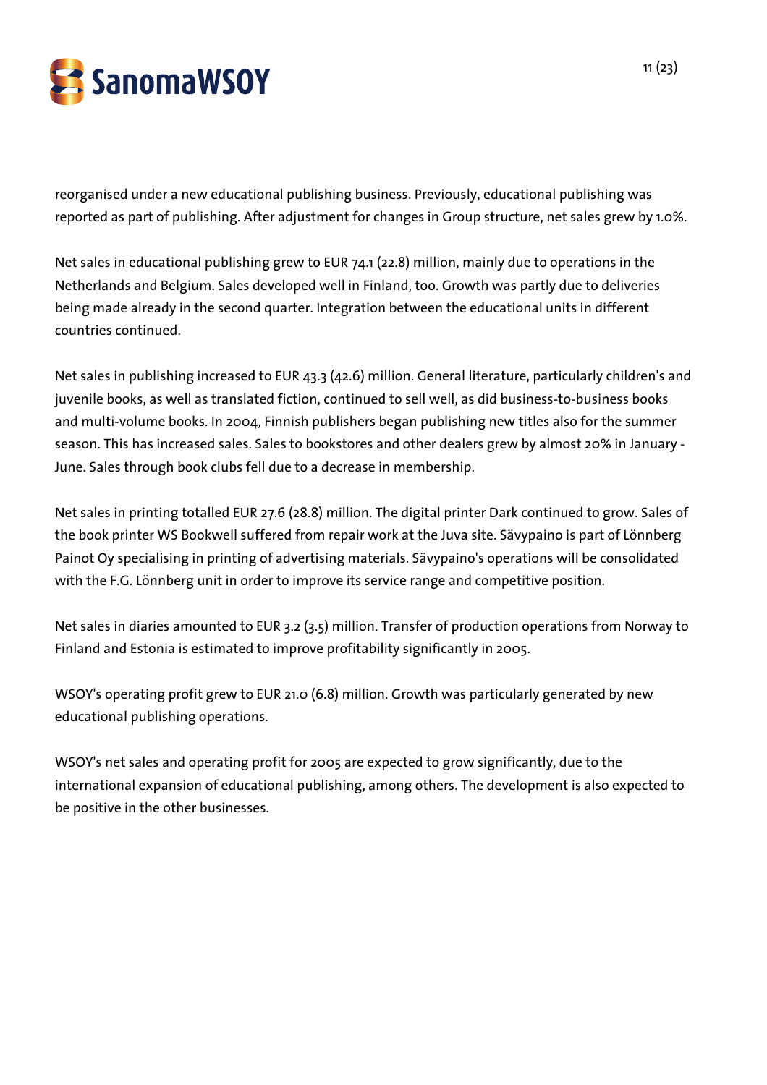

reorganised under a new educational publishing business. Previously, educational publishing was reported as part of publishing. After adjustment for changes in Group structure, net sales grew by 1.0%.

Net sales in educational publishing grew to EUR 74.1 (22.8) million, mainly due to operations in the Netherlands and Belgium. Sales developed well in Finland, too. Growth was partly due to deliveries being made already in the second quarter. Integration between the educational units in different countries continued.

Net sales in publishing increased to EUR 43.3 (42.6) million. General literature, particularly children's and juvenile books, as well as translated fiction, continued to sell well, as did business-to-business books and multi-volume books. In 2004, Finnish publishers began publishing new titles also for the summer season. This has increased sales. Sales to bookstores and other dealers grew by almost 20% in January - June. Sales through book clubs fell due to a decrease in membership.

Net sales in printing totalled EUR 27.6 (28.8) million. The digital printer Dark continued to grow. Sales of the book printer WS Bookwell suffered from repair work at the Juva site. Sävypaino is part of Lönnberg Painot Oy specialising in printing of advertising materials. Sävypaino's operations will be consolidated with the F.G. Lönnberg unit in order to improve its service range and competitive position.

Net sales in diaries amounted to EUR 3.2 (3.5) million. Transfer of production operations from Norway to Finland and Estonia is estimated to improve profitability significantly in 2005.

WSOY's operating profit grew to EUR 21.0 (6.8) million. Growth was particularly generated by new educational publishing operations.

WSOY's net sales and operating profit for 2005 are expected to grow significantly, due to the international expansion of educational publishing, among others. The development is also expected to be positive in the other businesses.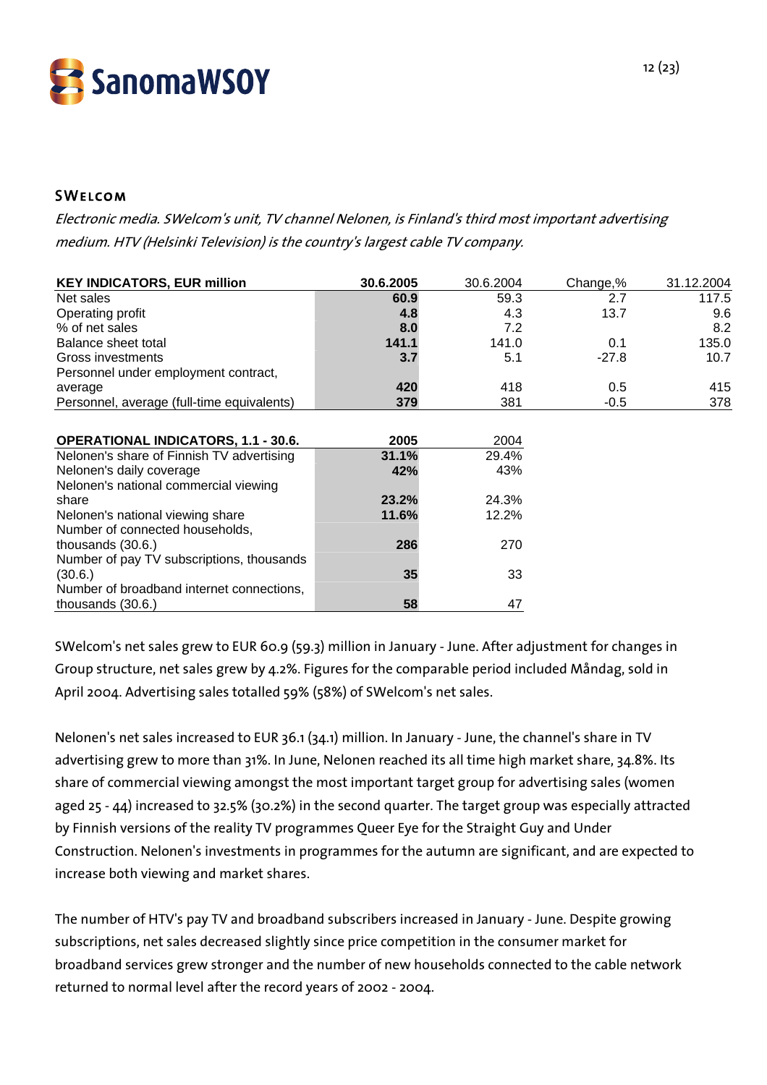

## **SWELCOM**

Electronic media. SWelcom's unit, TV channel Nelonen, is Finland's third most important advertising medium. HTV (Helsinki Television) is the country's largest cable TV company.

| <b>KEY INDICATORS, EUR million</b>         | 30.6.2005 | 30.6.2004 | Change,% | 31.12.2004 |
|--------------------------------------------|-----------|-----------|----------|------------|
| Net sales                                  | 60.9      | 59.3      | 2.7      | 117.5      |
| Operating profit                           | 4.8       | 4.3       | 13.7     | 9.6        |
| % of net sales                             | 8.0       | 7.2       |          | 8.2        |
| Balance sheet total                        | 141.1     | 141.0     | 0.1      | 135.0      |
| Gross investments                          | 3.7       | 5.1       | $-27.8$  | 10.7       |
| Personnel under employment contract,       |           |           |          |            |
| average                                    | 420       | 418       | 0.5      | 415        |
| Personnel, average (full-time equivalents) | 379       | 381       | $-0.5$   | 378        |
|                                            |           |           |          |            |
| <b>OPERATIONAL INDICATORS, 1.1 - 30.6.</b> | 2005      | 2004      |          |            |
| Nelonen's share of Finnish TV advertising  | 31.1%     | 29.4%     |          |            |
| Nelonen's daily coverage                   | 42%       | 43%       |          |            |
| Nelonen's national commercial viewing      |           |           |          |            |
| share                                      | 23.2%     | 24.3%     |          |            |
| Nelonen's national viewing share           | 11.6%     | 12.2%     |          |            |
| Number of connected households,            |           |           |          |            |
| thousands $(30.6.)$                        | 286       | 270       |          |            |
| Number of pay TV subscriptions, thousands  |           |           |          |            |
| (30.6.)                                    | 35        | 33        |          |            |
| Number of broadband internet connections,  |           |           |          |            |
| thousands (30.6.)                          | 58        | 47        |          |            |

SWelcom's net sales grew to EUR 60.9 (59.3) million in January - June. After adjustment for changes in Group structure, net sales grew by 4.2%. Figures for the comparable period included Måndag, sold in April 2004. Advertising sales totalled 59% (58%) of SWelcom's net sales.

Nelonen's net sales increased to EUR 36.1 (34.1) million. In January - June, the channel's share in TV advertising grew to more than 31%. In June, Nelonen reached its all time high market share, 34.8%. Its share of commercial viewing amongst the most important target group for advertising sales (women aged 25 - 44) increased to 32.5% (30.2%) in the second quarter. The target group was especially attracted by Finnish versions of the reality TV programmes Queer Eye for the Straight Guy and Under Construction. Nelonen's investments in programmes for the autumn are significant, and are expected to increase both viewing and market shares.

The number of HTV's pay TV and broadband subscribers increased in January - June. Despite growing subscriptions, net sales decreased slightly since price competition in the consumer market for broadband services grew stronger and the number of new households connected to the cable network returned to normal level after the record years of 2002 - 2004.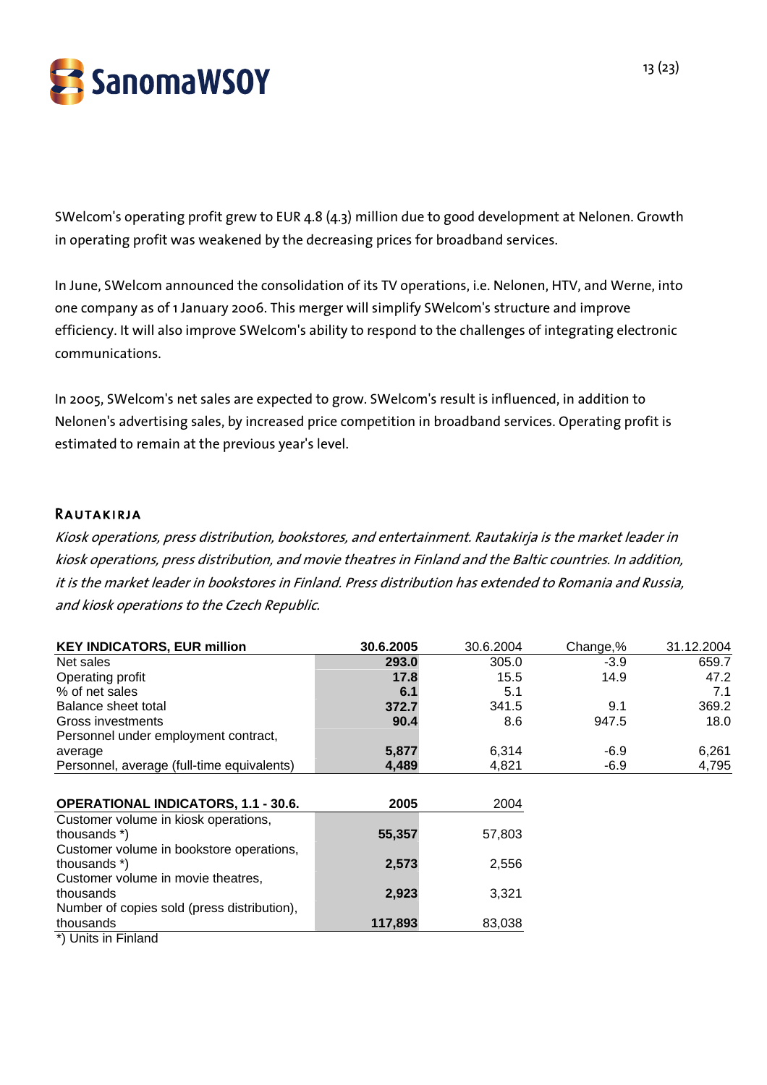

SWelcom's operating profit grew to EUR 4.8 (4.3) million due to good development at Nelonen. Growth in operating profit was weakened by the decreasing prices for broadband services.

In June, SWelcom announced the consolidation of its TV operations, i.e. Nelonen, HTV, and Werne, into one company as of 1 January 2006. This merger will simplify SWelcom's structure and improve efficiency. It will also improve SWelcom's ability to respond to the challenges of integrating electronic communications.

In 2005, SWelcom's net sales are expected to grow. SWelcom's result is influenced, in addition to Nelonen's advertising sales, by increased price competition in broadband services. Operating profit is estimated to remain at the previous year's level.

#### Rautakirja

Kiosk operations, press distribution, bookstores, and entertainment. Rautakirja is the market leader in kiosk operations, press distribution, and movie theatres in Finland and the Baltic countries. In addition, it is the market leader in bookstores in Finland. Press distribution has extended to Romania and Russia, and kiosk operations to the Czech Republic.

| <b>KEY INDICATORS, EUR million</b>          | 30.6.2005 | 30.6.2004 | Change,% | 31.12.2004 |
|---------------------------------------------|-----------|-----------|----------|------------|
| Net sales                                   | 293.0     | 305.0     | $-3.9$   | 659.7      |
| Operating profit                            | 17.8      | 15.5      | 14.9     | 47.2       |
| % of net sales                              | 6.1       | 5.1       |          | 7.1        |
| Balance sheet total                         | 372.7     | 341.5     | 9.1      | 369.2      |
| Gross investments                           | 90.4      | 8.6       | 947.5    | 18.0       |
| Personnel under employment contract,        |           |           |          |            |
| average                                     | 5,877     | 6,314     | $-6.9$   | 6,261      |
| Personnel, average (full-time equivalents)  | 4,489     | 4,821     | $-6.9$   | 4,795      |
|                                             |           |           |          |            |
| <b>OPERATIONAL INDICATORS, 1.1 - 30.6.</b>  | 2005      | 2004      |          |            |
| Customer volume in kiosk operations,        |           |           |          |            |
| thousands *)                                | 55,357    | 57,803    |          |            |
| Customer volume in bookstore operations,    |           |           |          |            |
| thousands *)                                | 2,573     | 2,556     |          |            |
| Customer volume in movie theatres,          |           |           |          |            |
| thousands                                   | 2,923     | 3,321     |          |            |
| Number of copies sold (press distribution), |           |           |          |            |
| thousands                                   | 117,893   | 83,038    |          |            |
| *) Units in Finland                         |           |           |          |            |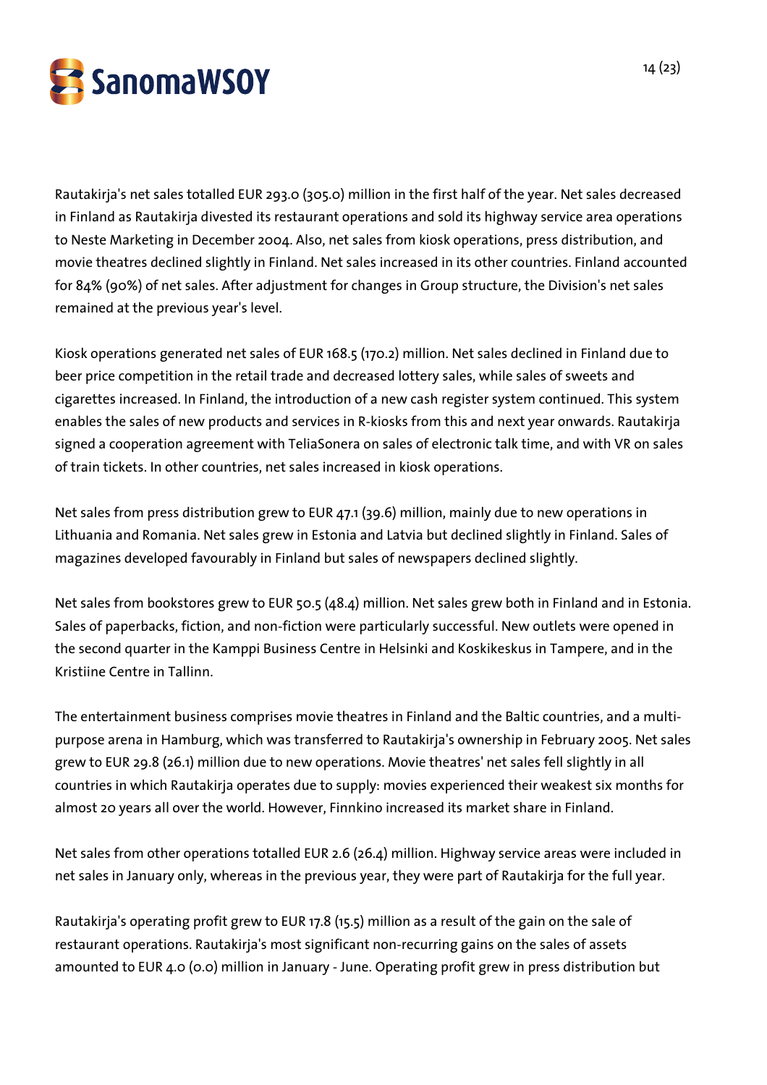

Rautakirja's net sales totalled EUR 293.0 (305.0) million in the first half of the year. Net sales decreased in Finland as Rautakirja divested its restaurant operations and sold its highway service area operations to Neste Marketing in December 2004. Also, net sales from kiosk operations, press distribution, and movie theatres declined slightly in Finland. Net sales increased in its other countries. Finland accounted for 84% (90%) of net sales. After adjustment for changes in Group structure, the Division's net sales remained at the previous year's level.

Kiosk operations generated net sales of EUR 168.5 (170.2) million. Net sales declined in Finland due to beer price competition in the retail trade and decreased lottery sales, while sales of sweets and cigarettes increased. In Finland, the introduction of a new cash register system continued. This system enables the sales of new products and services in R-kiosks from this and next year onwards. Rautakirja signed a cooperation agreement with TeliaSonera on sales of electronic talk time, and with VR on sales of train tickets. In other countries, net sales increased in kiosk operations.

Net sales from press distribution grew to EUR 47.1 (39.6) million, mainly due to new operations in Lithuania and Romania. Net sales grew in Estonia and Latvia but declined slightly in Finland. Sales of magazines developed favourably in Finland but sales of newspapers declined slightly.

Net sales from bookstores grew to EUR 50.5 (48.4) million. Net sales grew both in Finland and in Estonia. Sales of paperbacks, fiction, and non-fiction were particularly successful. New outlets were opened in the second quarter in the Kamppi Business Centre in Helsinki and Koskikeskus in Tampere, and in the Kristiine Centre in Tallinn.

The entertainment business comprises movie theatres in Finland and the Baltic countries, and a multipurpose arena in Hamburg, which was transferred to Rautakirja's ownership in February 2005. Net sales grew to EUR 29.8 (26.1) million due to new operations. Movie theatres' net sales fell slightly in all countries in which Rautakirja operates due to supply: movies experienced their weakest six months for almost 20 years all over the world. However, Finnkino increased its market share in Finland.

Net sales from other operations totalled EUR 2.6 (26.4) million. Highway service areas were included in net sales in January only, whereas in the previous year, they were part of Rautakirja for the full year.

Rautakirja's operating profit grew to EUR 17.8 (15.5) million as a result of the gain on the sale of restaurant operations. Rautakirja's most significant non-recurring gains on the sales of assets amounted to EUR 4.0 (0.0) million in January - June. Operating profit grew in press distribution but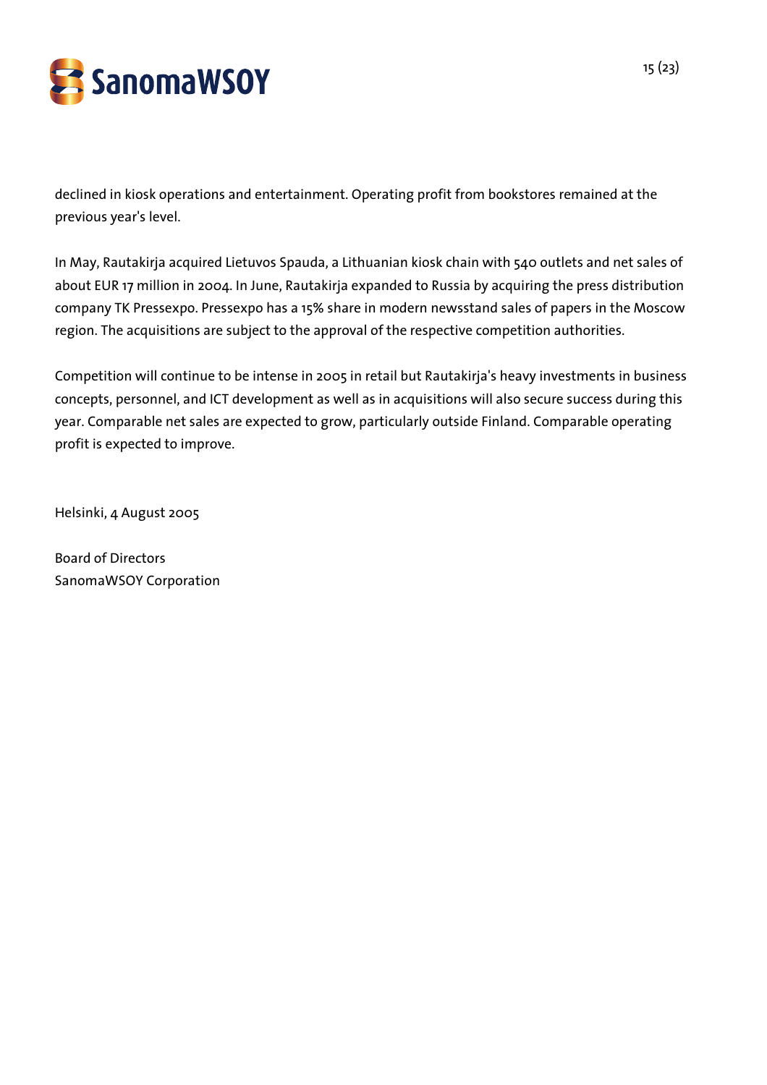

declined in kiosk operations and entertainment. Operating profit from bookstores remained at the previous year's level.

In May, Rautakirja acquired Lietuvos Spauda, a Lithuanian kiosk chain with 540 outlets and net sales of about EUR 17 million in 2004. In June, Rautakirja expanded to Russia by acquiring the press distribution company TK Pressexpo. Pressexpo has a 15% share in modern newsstand sales of papers in the Moscow region. The acquisitions are subject to the approval of the respective competition authorities.

Competition will continue to be intense in 2005 in retail but Rautakirja's heavy investments in business concepts, personnel, and ICT development as well as in acquisitions will also secure success during this year. Comparable net sales are expected to grow, particularly outside Finland. Comparable operating profit is expected to improve.

Helsinki, 4 August 2005

Board of Directors SanomaWSOY Corporation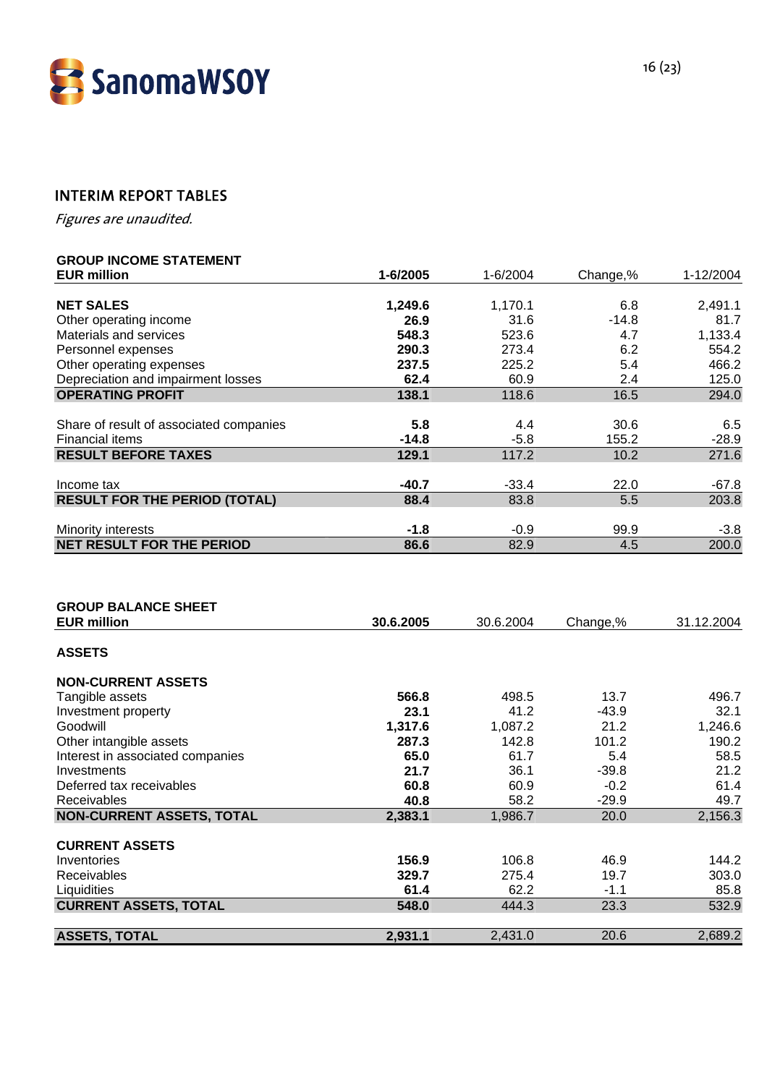

# INTERIM REPORT TABLES

Figures are unaudited.

# **GROUP INCOME STATEMENT**

| <b>EUR million</b>                      | 1-6/2005  | 1-6/2004           | Change,%          | 1-12/2004  |
|-----------------------------------------|-----------|--------------------|-------------------|------------|
|                                         |           |                    |                   |            |
| <b>NET SALES</b>                        | 1,249.6   | 1,170.1            | 6.8               | 2,491.1    |
| Other operating income                  | 26.9      | 31.6               | $-14.8$           | 81.7       |
| Materials and services                  | 548.3     | 523.6              | 4.7               | 1,133.4    |
| Personnel expenses                      | 290.3     | 273.4              | 6.2               | 554.2      |
| Other operating expenses                | 237.5     | 225.2              | 5.4               | 466.2      |
| Depreciation and impairment losses      | 62.4      | 60.9               | 2.4               | 125.0      |
| <b>OPERATING PROFIT</b>                 | 138.1     | 118.6              | 16.5              | 294.0      |
| Share of result of associated companies | 5.8       | 4.4                | 30.6              | 6.5        |
| <b>Financial items</b>                  | $-14.8$   | $-5.8$             | 155.2             | $-28.9$    |
| <b>RESULT BEFORE TAXES</b>              | 129.1     | 117.2              | 10.2              | 271.6      |
|                                         |           |                    |                   |            |
| Income tax                              | $-40.7$   | $-33.4$            | 22.0              | $-67.8$    |
| <b>RESULT FOR THE PERIOD (TOTAL)</b>    | 88.4      | 83.8               | 5.5               | 203.8      |
| Minority interests                      | $-1.8$    | $-0.9$             | 99.9              | $-3.8$     |
| <b>NET RESULT FOR THE PERIOD</b>        | 86.6      | 82.9               | 4.5               | 200.0      |
|                                         |           |                    |                   |            |
|                                         |           |                    |                   |            |
| <b>GROUP BALANCE SHEET</b>              |           |                    |                   |            |
| <b>EUR million</b>                      | 30.6.2005 | 30.6.2004          | Change,%          | 31.12.2004 |
| <b>ASSETS</b>                           |           |                    |                   |            |
| <b>NON-CURRENT ASSETS</b>               |           |                    |                   |            |
| Tangible assets                         | 566.8     | 498.5              | 13.7              | 496.7      |
| Investment property                     | 23.1      | 41.2               | $-43.9$           | 32.1       |
| Goodwill                                | 1,317.6   | 1,087.2            | 21.2              | 1,246.6    |
| Other and the control of the company of | $\sim$    | $\overline{11000}$ | $\overline{1010}$ | $\sqrt{2}$ |

| <b>NON-CURRENT ASSETS</b>        |         |         |         |         |
|----------------------------------|---------|---------|---------|---------|
| Tangible assets                  | 566.8   | 498.5   | 13.7    | 496.7   |
| Investment property              | 23.1    | 41.2    | $-43.9$ | 32.1    |
| Goodwill                         | 1,317.6 | 1,087.2 | 21.2    | 1,246.6 |
| Other intangible assets          | 287.3   | 142.8   | 101.2   | 190.2   |
| Interest in associated companies | 65.0    | 61.7    | 5.4     | 58.5    |
| Investments                      | 21.7    | 36.1    | $-39.8$ | 21.2    |
| Deferred tax receivables         | 60.8    | 60.9    | $-0.2$  | 61.4    |
| <b>Receivables</b>               | 40.8    | 58.2    | $-29.9$ | 49.7    |
| <b>NON-CURRENT ASSETS, TOTAL</b> | 2,383.1 | 1,986.7 | 20.0    | 2,156.3 |
|                                  |         |         |         |         |
| <b>CURRENT ASSETS</b>            |         |         |         |         |
| Inventories                      | 156.9   | 106.8   | 46.9    | 144.2   |
| Receivables                      | 329.7   | 275.4   | 19.7    | 303.0   |
| Liquidities                      | 61.4    | 62.2    | $-1.1$  | 85.8    |
| <b>CURRENT ASSETS, TOTAL</b>     | 548.0   | 444.3   | 23.3    | 532.9   |
|                                  |         |         |         |         |
| <b>ASSETS, TOTAL</b>             | 2,931.1 | 2,431.0 | 20.6    | 2,689.2 |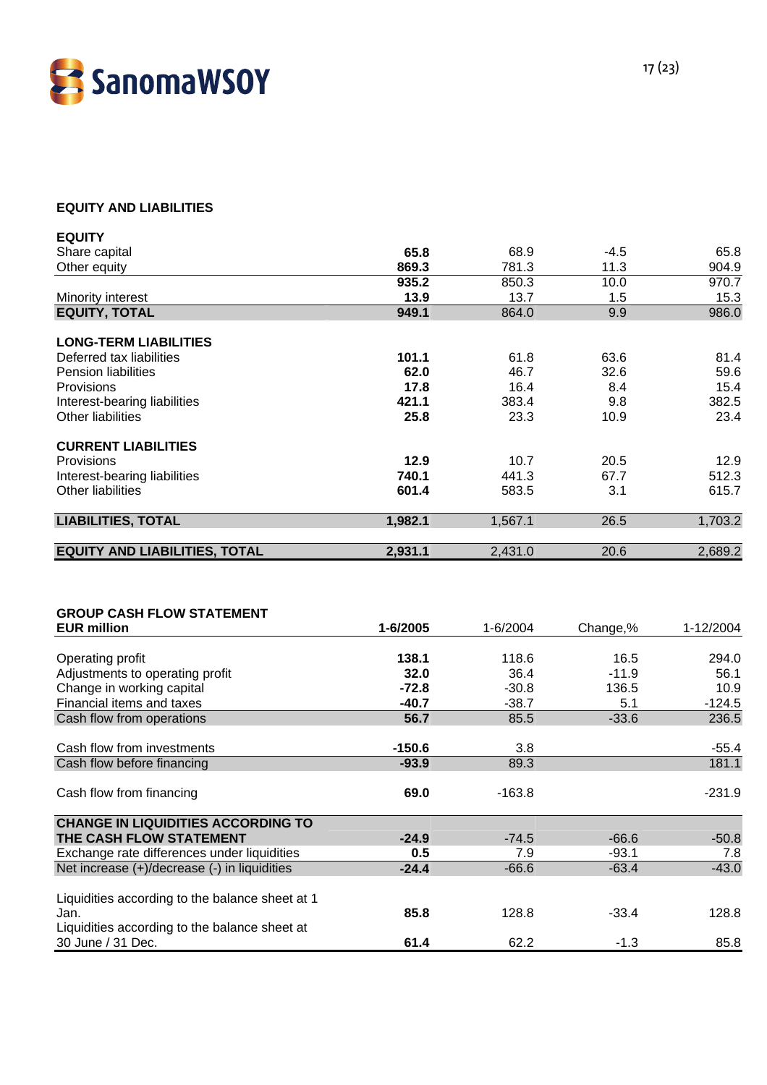

#### **EQUITY AND LIABILITIES**

| <b>EQUITY</b>                        |         |         |        |         |
|--------------------------------------|---------|---------|--------|---------|
| Share capital                        | 65.8    | 68.9    | $-4.5$ | 65.8    |
| Other equity                         | 869.3   | 781.3   | 11.3   | 904.9   |
|                                      | 935.2   | 850.3   | 10.0   | 970.7   |
| Minority interest                    | 13.9    | 13.7    | 1.5    | 15.3    |
| <b>EQUITY, TOTAL</b>                 | 949.1   | 864.0   | 9.9    | 986.0   |
| <b>LONG-TERM LIABILITIES</b>         |         |         |        |         |
| Deferred tax liabilities             | 101.1   | 61.8    | 63.6   | 81.4    |
| <b>Pension liabilities</b>           | 62.0    | 46.7    | 32.6   | 59.6    |
| Provisions                           | 17.8    | 16.4    | 8.4    | 15.4    |
| Interest-bearing liabilities         | 421.1   | 383.4   | 9.8    | 382.5   |
| <b>Other liabilities</b>             | 25.8    | 23.3    | 10.9   | 23.4    |
| <b>CURRENT LIABILITIES</b>           |         |         |        |         |
| Provisions                           | 12.9    | 10.7    | 20.5   | 12.9    |
| Interest-bearing liabilities         | 740.1   | 441.3   | 67.7   | 512.3   |
| <b>Other liabilities</b>             | 601.4   | 583.5   | 3.1    | 615.7   |
| <b>LIABILITIES, TOTAL</b>            | 1,982.1 | 1,567.1 | 26.5   | 1,703.2 |
| <b>EQUITY AND LIABILITIES, TOTAL</b> | 2,931.1 | 2,431.0 | 20.6   | 2,689.2 |

| <b>GROUP CASH FLOW STATEMENT</b>                |          |          |          |           |
|-------------------------------------------------|----------|----------|----------|-----------|
| <b>EUR million</b>                              | 1-6/2005 | 1-6/2004 | Change,% | 1-12/2004 |
|                                                 |          |          |          |           |
| Operating profit                                | 138.1    | 118.6    | 16.5     | 294.0     |
| Adjustments to operating profit                 | 32.0     | 36.4     | $-11.9$  | 56.1      |
| Change in working capital                       | $-72.8$  | $-30.8$  | 136.5    | 10.9      |
| Financial items and taxes                       | $-40.7$  | $-38.7$  | 5.1      | $-124.5$  |
| Cash flow from operations                       | 56.7     | 85.5     | $-33.6$  | 236.5     |
|                                                 |          |          |          |           |
| Cash flow from investments                      | $-150.6$ | 3.8      |          | $-55.4$   |
| Cash flow before financing                      | $-93.9$  | 89.3     |          | 181.1     |
|                                                 |          |          |          |           |
| Cash flow from financing                        | 69.0     | $-163.8$ |          | $-231.9$  |
|                                                 |          |          |          |           |
| <b>CHANGE IN LIQUIDITIES ACCORDING TO</b>       |          |          |          |           |
| THE CASH FLOW STATEMENT                         | $-24.9$  | $-74.5$  | $-66.6$  | $-50.8$   |
| Exchange rate differences under liquidities     | 0.5      | 7.9      | $-93.1$  | 7.8       |
| Net increase (+)/decrease (-) in liquidities    | $-24.4$  | $-66.6$  | $-63.4$  | $-43.0$   |
|                                                 |          |          |          |           |
| Liquidities according to the balance sheet at 1 |          |          |          |           |
| Jan.                                            | 85.8     | 128.8    | $-33.4$  | 128.8     |
| Liquidities according to the balance sheet at   |          |          |          |           |
| 30 June / 31 Dec.                               | 61.4     | 62.2     | $-1.3$   | 85.8      |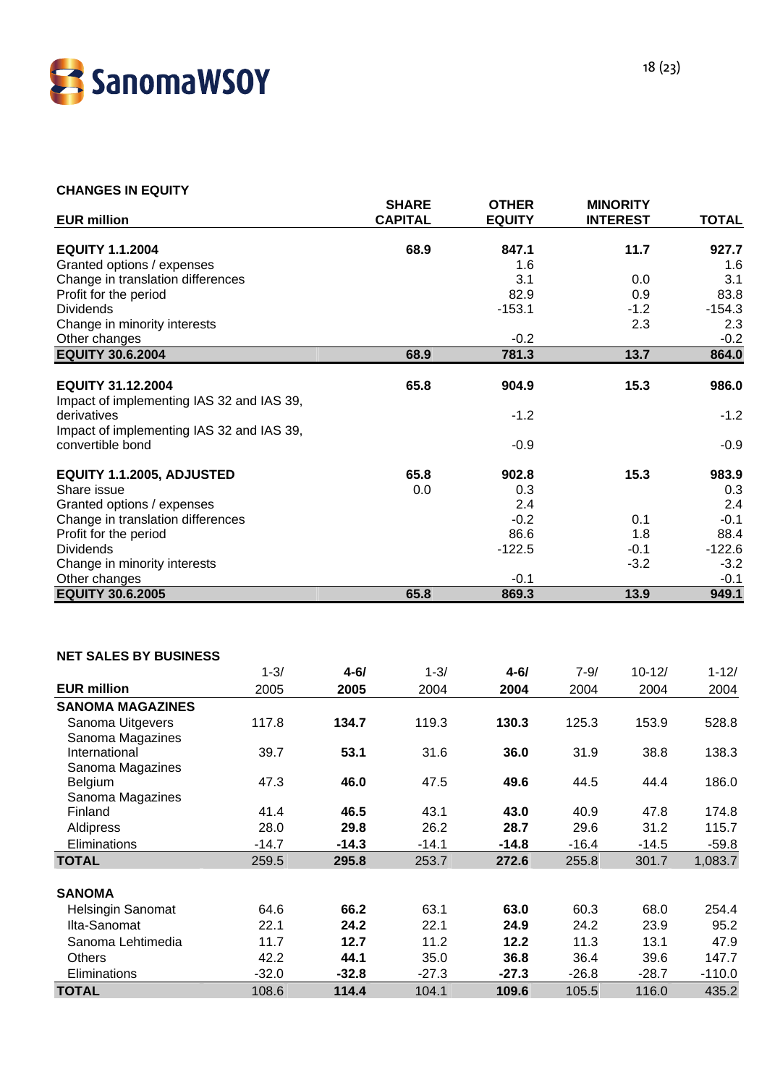

#### **CHANGES IN EQUITY**

| <b>EUR million</b>                        |          |          | <b>SHARE</b><br><b>CAPITAL</b> | <b>OTHER</b><br><b>EQUITY</b> |          | <b>MINORITY</b><br><b>INTEREST</b> | <b>TOTAL</b> |
|-------------------------------------------|----------|----------|--------------------------------|-------------------------------|----------|------------------------------------|--------------|
| <b>EQUITY 1.1.2004</b>                    |          |          | 68.9                           | 847.1                         |          | 11.7                               | 927.7        |
| Granted options / expenses                |          |          |                                | 1.6                           |          |                                    | 1.6          |
| Change in translation differences         |          |          |                                | 3.1                           |          | 0.0                                | 3.1          |
| Profit for the period                     |          |          |                                | 82.9                          |          | 0.9                                | 83.8         |
| <b>Dividends</b>                          |          |          |                                | $-153.1$                      |          | $-1.2$                             | $-154.3$     |
| Change in minority interests              |          |          |                                |                               |          | 2.3                                | 2.3          |
| Other changes                             |          |          |                                | $-0.2$                        |          |                                    | $-0.2$       |
| <b>EQUITY 30.6.2004</b>                   |          |          | 68.9                           | 781.3                         |          | 13.7                               | 864.0        |
| <b>EQUITY 31.12.2004</b>                  |          |          | 65.8                           | 904.9                         |          | 15.3                               | 986.0        |
| Impact of implementing IAS 32 and IAS 39, |          |          |                                |                               |          |                                    |              |
| derivatives                               |          |          |                                | $-1.2$                        |          |                                    | $-1.2$       |
| Impact of implementing IAS 32 and IAS 39, |          |          |                                |                               |          |                                    |              |
| convertible bond                          |          |          |                                | $-0.9$                        |          |                                    | $-0.9$       |
| EQUITY 1.1.2005, ADJUSTED                 |          |          | 65.8                           | 902.8                         |          | 15.3                               | 983.9        |
| Share issue                               |          |          | 0.0                            | 0.3                           |          |                                    | 0.3          |
| Granted options / expenses                |          |          |                                | 2.4                           |          |                                    | 2.4          |
| Change in translation differences         |          |          |                                | $-0.2$                        |          | 0.1                                | $-0.1$       |
| Profit for the period                     |          |          |                                | 86.6                          |          | 1.8                                | 88.4         |
| <b>Dividends</b>                          |          |          |                                | $-122.5$                      |          | $-0.1$                             | $-122.6$     |
| Change in minority interests              |          |          |                                |                               |          | $-3.2$                             | $-3.2$       |
| Other changes                             |          |          |                                | $-0.1$                        |          |                                    | $-0.1$       |
| <b>EQUITY 30.6.2005</b>                   |          |          | 65.8                           | 869.3                         |          | 13.9                               | 949.1        |
| <b>NET SALES BY BUSINESS</b>              | $1 - 3/$ | $4 - 6/$ | $1 - 3/$                       | $4 - 61$                      | $7 - 9/$ | $10 - 12/$                         | $1 - 12/$    |
|                                           |          |          |                                |                               |          |                                    |              |
| <b>EUR million</b>                        | 2005     | 2005     | 2004                           | 2004                          | 2004     | 2004                               | 2004         |
| <b>SANOMA MAGAZINES</b>                   |          |          |                                |                               |          |                                    |              |
| Sanoma Uitgevers                          | 117.8    | 134.7    | 119.3                          | 130.3                         | 125.3    | 153.9                              | 528.8        |
| Sanoma Magazines<br>International         | 39.7     | 53.1     | 31.6                           | 36.0                          | 31.9     | 38.8                               | 138.3        |
| Sanoma Magazines                          |          |          |                                |                               |          |                                    |              |
| Belgium                                   | 47.3     | 46.0     | 47.5                           | 49.6                          | 44.5     | 44.4                               | 186.0        |
| Sanoma Magazines                          |          |          |                                |                               |          |                                    |              |
| Finland                                   | 41.4     | 46.5     | 43.1                           | 43.0                          | 40.9     | 47.8                               | 174.8        |
| Aldipress                                 | 28.0     | 29.8     | 26.2                           | 28.7                          | 29.6     | 31.2                               | 115.7        |
| Eliminations                              | $-14.7$  | $-14.3$  | $-14.1$                        | $-14.8$                       | $-16.4$  | $-14.5$                            | $-59.8$      |

| <b>TOTAL</b>             | 259.5   | 295.8   | 253.7   | 272.6   | 255.8   | 301.7   | 1,083.7  |
|--------------------------|---------|---------|---------|---------|---------|---------|----------|
|                          |         |         |         |         |         |         |          |
| <b>SANOMA</b>            |         |         |         |         |         |         |          |
| <b>Helsingin Sanomat</b> | 64.6    | 66.2    | 63.1    | 63.0    | 60.3    | 68.0    | 254.4    |
| Ilta-Sanomat             | 22.1    | 24.2    | 22.1    | 24.9    | 24.2    | 23.9    | 95.2     |
| Sanoma Lehtimedia        | 11.7    | 12.7    | 11.2    | 12.2    | 11.3    | 13.1    | 47.9     |
| <b>Others</b>            | 42.2    | 44.1    | 35.0    | 36.8    | 36.4    | 39.6    | 147.7    |
| Eliminations             | $-32.0$ | $-32.8$ | $-27.3$ | $-27.3$ | $-26.8$ | $-28.7$ | $-110.0$ |
| <b>TOTAL</b>             | 108.6   | 114.4   | 104.1   | 109.6   | 105.5   | 116.0   | 435.2    |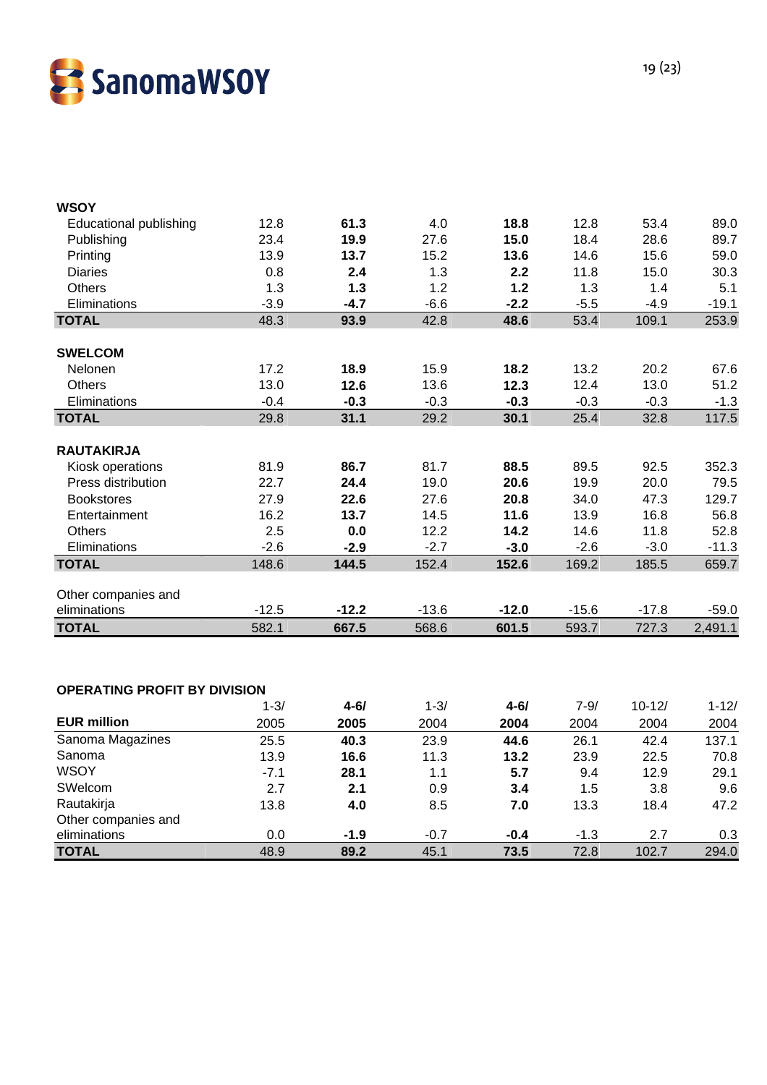

| <b>WSOY</b>                         |         |                                              |         |                                              |         |         |         |
|-------------------------------------|---------|----------------------------------------------|---------|----------------------------------------------|---------|---------|---------|
| <b>Educational publishing</b>       | 12.8    | 61.3                                         | 4.0     | 18.8                                         | 12.8    | 53.4    | 89.0    |
| Publishing                          | 23.4    | 19.9                                         | 27.6    | 15.0                                         | 18.4    | 28.6    | 89.7    |
| Printing                            | 13.9    | 13.7                                         | 15.2    | 13.6                                         | 14.6    | 15.6    | 59.0    |
| <b>Diaries</b>                      | 0.8     | 2.4                                          | 1.3     | 2.2                                          | 11.8    | 15.0    | 30.3    |
| <b>Others</b>                       | 1.3     | 1.3                                          | 1.2     | 1.2                                          | 1.3     | 1.4     | 5.1     |
| Eliminations                        | $-3.9$  | $-4.7$                                       | $-6.6$  | $-2.2$                                       | $-5.5$  | $-4.9$  | $-19.1$ |
| <b>TOTAL</b>                        | 48.3    | 93.9                                         | 42.8    | 48.6                                         | 53.4    | 109.1   | 253.9   |
| <b>SWELCOM</b>                      |         |                                              |         |                                              |         |         |         |
| Nelonen                             | 17.2    | 18.9                                         | 15.9    | 18.2                                         | 13.2    | 20.2    | 67.6    |
| <b>Others</b>                       | 13.0    | 12.6                                         | 13.6    | 12.3                                         | 12.4    | 13.0    | 51.2    |
| Eliminations                        | $-0.4$  | $-0.3$                                       | $-0.3$  | $-0.3$                                       | $-0.3$  | $-0.3$  | $-1.3$  |
| <b>TOTAL</b>                        | 29.8    | 31.1                                         | 29.2    | 30.1                                         | 25.4    | 32.8    | 117.5   |
| <b>RAUTAKIRJA</b>                   |         |                                              |         |                                              |         |         |         |
| Kiosk operations                    | 81.9    | 86.7                                         | 81.7    | 88.5                                         | 89.5    | 92.5    | 352.3   |
| Press distribution                  | 22.7    | 24.4                                         | 19.0    | 20.6                                         | 19.9    | 20.0    | 79.5    |
| <b>Bookstores</b>                   | 27.9    | 22.6                                         | 27.6    | 20.8                                         | 34.0    | 47.3    | 129.7   |
| Entertainment                       | 16.2    | 13.7                                         | 14.5    | 11.6                                         | 13.9    | 16.8    | 56.8    |
| <b>Others</b>                       | 2.5     | 0.0                                          | 12.2    | 14.2                                         | 14.6    | 11.8    | 52.8    |
| Eliminations                        | $-2.6$  | $-2.9$                                       | $-2.7$  | $-3.0$                                       | $-2.6$  | $-3.0$  | $-11.3$ |
| <b>TOTAL</b>                        | 148.6   | 144.5                                        | 152.4   | 152.6                                        | 169.2   | 185.5   | 659.7   |
| Other companies and                 |         |                                              |         |                                              |         |         |         |
| eliminations                        | $-12.5$ | $-12.2$                                      | $-13.6$ | $-12.0$                                      | $-15.6$ | $-17.8$ | $-59.0$ |
| <b>TOTAL</b>                        | 582.1   | 667.5                                        | 568.6   | 601.5                                        | 593.7   | 727.3   | 2,491.1 |
|                                     |         |                                              |         |                                              |         |         |         |
|                                     |         |                                              |         |                                              |         |         |         |
| <b>OPERATING PROFIT BY DIVISION</b> | 1.21    | $\overline{A}$ $\overline{C}$ $\overline{I}$ | 1.21    | $\overline{A}$ $\overline{C}$ $\overline{I}$ | 701     | 10.101  | 1.101   |

|                     | $1 - 3/$ | $4 - 6/$ | $1 - 3/$ | $4 - 61$ | $7 - 9/$ | $10 - 12/$ | $1 - 12/$ |
|---------------------|----------|----------|----------|----------|----------|------------|-----------|
| <b>EUR million</b>  | 2005     | 2005     | 2004     | 2004     | 2004     | 2004       | 2004      |
| Sanoma Magazines    | 25.5     | 40.3     | 23.9     | 44.6     | 26.1     | 42.4       | 137.1     |
| Sanoma              | 13.9     | 16.6     | 11.3     | 13.2     | 23.9     | 22.5       | 70.8      |
| <b>WSOY</b>         | $-7.1$   | 28.1     | 1.1      | 5.7      | 9.4      | 12.9       | 29.1      |
| SWelcom             | 2.7      | 2.1      | 0.9      | 3.4      | 1.5      | 3.8        | 9.6       |
| Rautakirja          | 13.8     | 4.0      | 8.5      | 7.0      | 13.3     | 18.4       | 47.2      |
| Other companies and |          |          |          |          |          |            |           |
| eliminations        | 0.0      | $-1.9$   | $-0.7$   | $-0.4$   | $-1.3$   | 2.7        | 0.3       |
| <b>TOTAL</b>        | 48.9     | 89.2     | 45.1     | 73.5     | 72.8     | 102.7      | 294.0     |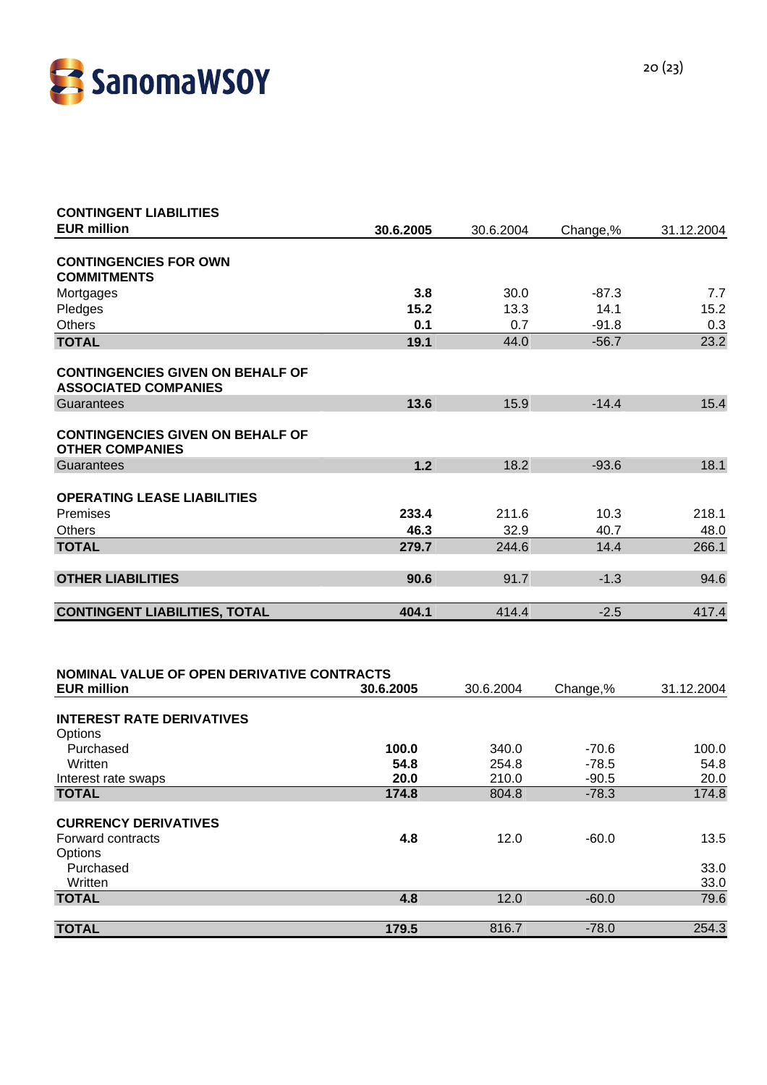

| <b>CONTINGENT LIABILITIES</b>                                          |           |           |          |            |
|------------------------------------------------------------------------|-----------|-----------|----------|------------|
| <b>EUR million</b>                                                     | 30.6.2005 | 30.6.2004 | Change,% | 31.12.2004 |
| <b>CONTINGENCIES FOR OWN</b>                                           |           |           |          |            |
| <b>COMMITMENTS</b>                                                     |           |           |          |            |
| Mortgages                                                              | 3.8       | 30.0      | $-87.3$  | 7.7        |
| Pledges                                                                | 15.2      | 13.3      | 14.1     | 15.2       |
| <b>Others</b>                                                          | 0.1       | 0.7       | $-91.8$  | 0.3        |
| <b>TOTAL</b>                                                           | 19.1      | 44.0      | $-56.7$  | 23.2       |
| <b>CONTINGENCIES GIVEN ON BEHALF OF</b><br><b>ASSOCIATED COMPANIES</b> |           |           |          |            |
| Guarantees                                                             | 13.6      | 15.9      | $-14.4$  | 15.4       |
| <b>CONTINGENCIES GIVEN ON BEHALF OF</b><br><b>OTHER COMPANIES</b>      |           |           |          |            |
| Guarantees                                                             | 1.2       | 18.2      | $-93.6$  | 18.1       |
| <b>OPERATING LEASE LIABILITIES</b>                                     |           |           |          |            |
| Premises                                                               | 233.4     | 211.6     | 10.3     | 218.1      |
| <b>Others</b>                                                          | 46.3      | 32.9      | 40.7     | 48.0       |
| <b>TOTAL</b>                                                           | 279.7     | 244.6     | 14.4     | 266.1      |
|                                                                        |           |           |          |            |
| <b>OTHER LIABILITIES</b>                                               | 90.6      | 91.7      | $-1.3$   | 94.6       |
|                                                                        |           |           |          |            |
| <b>CONTINGENT LIABILITIES, TOTAL</b>                                   | 404.1     | 414.4     | $-2.5$   | 417.4      |
|                                                                        |           |           |          |            |

| NOMINAL VALUE OF OPEN DERIVATIVE CONTRACTS |           |           |          |            |
|--------------------------------------------|-----------|-----------|----------|------------|
| <b>EUR million</b>                         | 30.6.2005 | 30.6.2004 | Change,% | 31.12.2004 |
|                                            |           |           |          |            |
| <b>INTEREST RATE DERIVATIVES</b>           |           |           |          |            |
| Options                                    |           |           |          |            |
| Purchased                                  | 100.0     | 340.0     | $-70.6$  | 100.0      |
| Written                                    | 54.8      | 254.8     | $-78.5$  | 54.8       |
| Interest rate swaps                        | 20.0      | 210.0     | $-90.5$  | 20.0       |
| <b>TOTAL</b>                               | 174.8     | 804.8     | $-78.3$  | 174.8      |
|                                            |           |           |          |            |
| <b>CURRENCY DERIVATIVES</b>                |           |           |          |            |
| Forward contracts                          | 4.8       | 12.0      | $-60.0$  | 13.5       |
| Options                                    |           |           |          |            |
| Purchased                                  |           |           |          | 33.0       |
| Written                                    |           |           |          | 33.0       |
| <b>TOTAL</b>                               | 4.8       | 12.0      | $-60.0$  | 79.6       |
|                                            |           |           |          |            |
| <b>TOTAL</b>                               | 179.5     | 816.7     | $-78.0$  | 254.3      |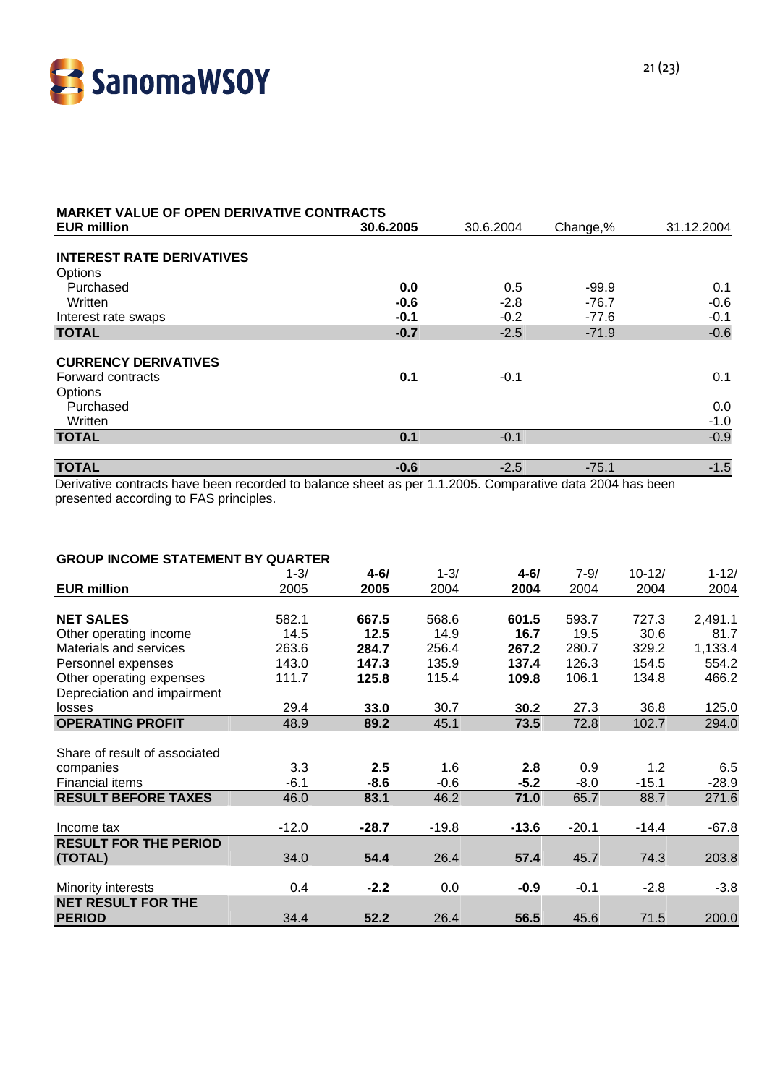

| <b>MARKET VALUE OF OPEN DERIVATIVE CONTRACTS</b>                    |               |               |                    |               |  |
|---------------------------------------------------------------------|---------------|---------------|--------------------|---------------|--|
| <b>EUR million</b>                                                  | 30.6.2005     | 30.6.2004     | Change,%           | 31.12.2004    |  |
| <b>INTEREST RATE DERIVATIVES</b><br>Options<br>Purchased<br>Written | 0.0<br>$-0.6$ | 0.5<br>$-2.8$ | $-99.9$<br>$-76.7$ | 0.1<br>$-0.6$ |  |
| Interest rate swaps                                                 | $-0.1$        | $-0.2$        | $-77.6$            | $-0.1$        |  |
| <b>TOTAL</b>                                                        | $-0.7$        | $-2.5$        | $-71.9$            | $-0.6$        |  |
| <b>CURRENCY DERIVATIVES</b><br>Forward contracts<br>Options         | 0.1           | $-0.1$        |                    | 0.1           |  |
| Purchased<br>Written                                                |               |               |                    | 0.0<br>$-1.0$ |  |
| <b>TOTAL</b>                                                        | 0.1           | $-0.1$        |                    | $-0.9$        |  |
| <b>TOTAL</b>                                                        | $-0.6$        | $-2.5$        | $-75.1$            | $-1.5$        |  |

Derivative contracts have been recorded to balance sheet as per 1.1.2005. Comparative data 2004 has been presented according to FAS principles.

#### **GROUP INCOME STATEMENT BY QUARTER**

|                               | $1 - 3/$ | $4 - 61$ | $1 - 3/$ | $4 - 6/$ | $7 - 9/$ | $10 - 12/$ | $1 - 12/$ |
|-------------------------------|----------|----------|----------|----------|----------|------------|-----------|
| <b>EUR million</b>            | 2005     | 2005     | 2004     | 2004     | 2004     | 2004       | 2004      |
|                               |          |          |          |          |          |            |           |
| <b>NET SALES</b>              | 582.1    | 667.5    | 568.6    | 601.5    | 593.7    | 727.3      | 2,491.1   |
| Other operating income        | 14.5     | 12.5     | 14.9     | 16.7     | 19.5     | 30.6       | 81.7      |
| Materials and services        | 263.6    | 284.7    | 256.4    | 267.2    | 280.7    | 329.2      | 1,133.4   |
| Personnel expenses            | 143.0    | 147.3    | 135.9    | 137.4    | 126.3    | 154.5      | 554.2     |
| Other operating expenses      | 111.7    | 125.8    | 115.4    | 109.8    | 106.1    | 134.8      | 466.2     |
| Depreciation and impairment   |          |          |          |          |          |            |           |
| losses                        | 29.4     | 33.0     | 30.7     | 30.2     | 27.3     | 36.8       | 125.0     |
| <b>OPERATING PROFIT</b>       | 48.9     | 89.2     | 45.1     | 73.5     | 72.8     | 102.7      | 294.0     |
|                               |          |          |          |          |          |            |           |
| Share of result of associated |          |          |          |          |          |            |           |
| companies                     | 3.3      | 2.5      | 1.6      | 2.8      | 0.9      | 1.2        | 6.5       |
| Financial items               | $-6.1$   | $-8.6$   | $-0.6$   | $-5.2$   | $-8.0$   | $-15.1$    | $-28.9$   |
| <b>RESULT BEFORE TAXES</b>    | 46.0     | 83.1     | 46.2     | 71.0     | 65.7     | 88.7       | 271.6     |
|                               |          |          |          |          |          |            |           |
| Income tax                    | $-12.0$  | $-28.7$  | $-19.8$  | $-13.6$  | $-20.1$  | $-14.4$    | $-67.8$   |
| <b>RESULT FOR THE PERIOD</b>  |          |          |          |          |          |            |           |
| (TOTAL)                       | 34.0     | 54.4     | 26.4     | 57.4     | 45.7     | 74.3       | 203.8     |
|                               |          |          |          |          |          |            |           |
| Minority interests            | 0.4      | $-2.2$   | $0.0\,$  | $-0.9$   | $-0.1$   | $-2.8$     | $-3.8$    |
| <b>NET RESULT FOR THE</b>     |          |          |          |          |          |            |           |
| <b>PERIOD</b>                 | 34.4     | 52.2     | 26.4     | 56.5     | 45.6     | 71.5       | 200.0     |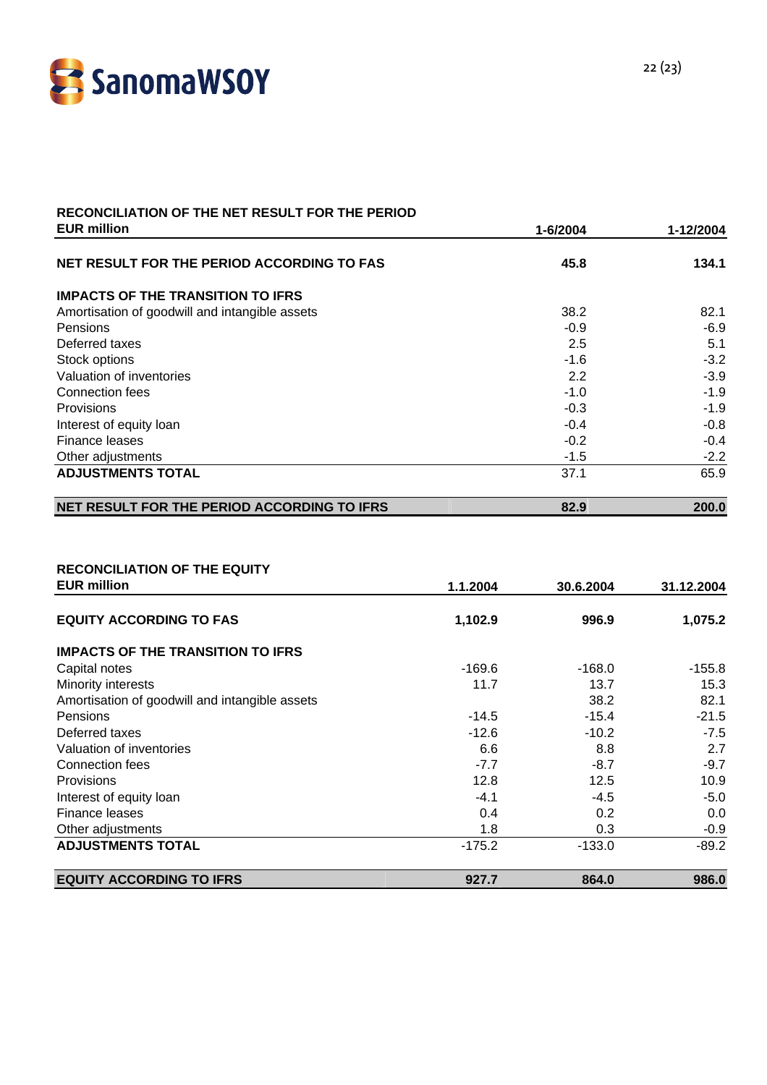

# **RECONCILIATION OF THE NET RESULT FOR THE PERIOD**

| <b>EUR million</b>                             | 1-6/2004 | 1-12/2004 |
|------------------------------------------------|----------|-----------|
| NET RESULT FOR THE PERIOD ACCORDING TO FAS     | 45.8     | 134.1     |
| <b>IMPACTS OF THE TRANSITION TO IFRS</b>       |          |           |
| Amortisation of goodwill and intangible assets | 38.2     | 82.1      |
| <b>Pensions</b>                                | $-0.9$   | $-6.9$    |
| Deferred taxes                                 | 2.5      | 5.1       |
| Stock options                                  | $-1.6$   | $-3.2$    |
| Valuation of inventories                       | 2.2      | $-3.9$    |
| Connection fees                                | $-1.0$   | $-1.9$    |
| Provisions                                     | $-0.3$   | $-1.9$    |
| Interest of equity loan                        | $-0.4$   | $-0.8$    |
| Finance leases                                 | $-0.2$   | $-0.4$    |
| Other adjustments                              | $-1.5$   | $-2.2$    |
| <b>ADJUSTMENTS TOTAL</b>                       | 37.1     | 65.9      |
| NET RESULT FOR THE PERIOD ACCORDING TO IFRS    | 82.9     | 200.0     |

#### **RECONCILIATION OF THE EQUITY**

| <b>EUR million</b>                             | 1.1.2004 | 30.6.2004 | 31.12.2004 |
|------------------------------------------------|----------|-----------|------------|
| <b>EQUITY ACCORDING TO FAS</b>                 | 1,102.9  | 996.9     | 1,075.2    |
| <b>IMPACTS OF THE TRANSITION TO IFRS</b>       |          |           |            |
| Capital notes                                  | -169.6   | $-168.0$  | $-155.8$   |
| Minority interests                             | 11.7     | 13.7      | 15.3       |
| Amortisation of goodwill and intangible assets |          | 38.2      | 82.1       |
| Pensions                                       | $-14.5$  | $-15.4$   | $-21.5$    |
| Deferred taxes                                 | $-12.6$  | $-10.2$   | $-7.5$     |
| Valuation of inventories                       | 6.6      | 8.8       | 2.7        |
| Connection fees                                | $-7.7$   | $-8.7$    | $-9.7$     |
| <b>Provisions</b>                              | 12.8     | 12.5      | 10.9       |
| Interest of equity loan                        | $-4.1$   | -4.5      | $-5.0$     |
| Finance leases                                 | 0.4      | 0.2       | 0.0        |
| Other adjustments                              | 1.8      | 0.3       | $-0.9$     |
| <b>ADJUSTMENTS TOTAL</b>                       | $-175.2$ | $-133.0$  | $-89.2$    |
| <b>EQUITY ACCORDING TO IFRS</b>                | 927.7    | 864.0     | 986.0      |